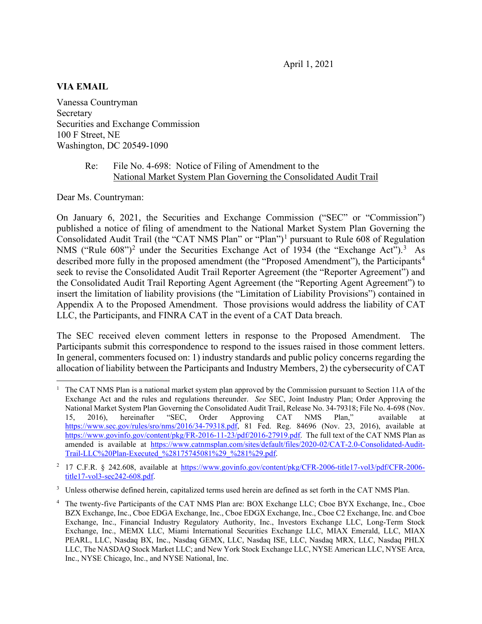#### **VIA EMAIL**

Vanessa Countryman Secretary Securities and Exchange Commission 100 F Street, NE Washington, DC 20549-1090

#### Re: File No. 4-698: Notice of Filing of Amendment to the National Market System Plan Governing the Consolidated Audit Trail

Dear Ms. Countryman:

On January 6, 2021, the Securities and Exchange Commission ("SEC" or "Commission") published a notice of filing of amendment to the National Market System Plan Governing the Consolidated Audit Trail (the "CAT NMS Plan" or "Plan")<sup>[1](#page-0-0)</sup> pursuant to Rule 608 of Regulation NMS ("Rule  $608$ ")<sup>[2](#page-0-1)</sup> under the Securities Exchange Act of 19[3](#page-0-2)4 (the "Exchange Act").<sup>3</sup> As described more fully in the proposed amendment (the "Proposed Amendment"), the Participants<sup>[4](#page-0-3)</sup> seek to revise the Consolidated Audit Trail Reporter Agreement (the "Reporter Agreement") and the Consolidated Audit Trail Reporting Agent Agreement (the "Reporting Agent Agreement") to insert the limitation of liability provisions (the "Limitation of Liability Provisions") contained in Appendix A to the Proposed Amendment. Those provisions would address the liability of CAT LLC, the Participants, and FINRA CAT in the event of a CAT Data breach.

The SEC received eleven comment letters in response to the Proposed Amendment. The Participants submit this correspondence to respond to the issues raised in those comment letters. In general, commenters focused on: 1) industry standards and public policy concerns regarding the allocation of liability between the Participants and Industry Members, 2) the cybersecurity of CAT

<span id="page-0-0"></span> $1$  The CAT NMS Plan is a national market system plan approved by the Commission pursuant to Section 11A of the Exchange Act and the rules and regulations thereunder. *See* SEC, Joint Industry Plan; Order Approving the National Market System Plan Governing the Consolidated Audit Trail, Release No. 34-79318; File No. 4-698 (Nov.<br>15. 2016). hereinafter "SEC. Order Approving CAT NMS Plan." available at 15, 2016), hereinafter "SEC, Order Approving CAT NMS Plan," available at [https://www.sec.gov/rules/sro/nms/2016/34-79318.pdf,](https://www.sec.gov/rules/sro/nms/2016/34-79318.pdf) 81 Fed. Reg. 84696 (Nov. 23, 2016), available at [https://www.govinfo.gov/content/pkg/FR-2016-11-23/pdf/2016-27919.pdf.](https://www.govinfo.gov/content/pkg/FR-2016-11-23/pdf/2016-27919.pdf) The full text of the CAT NMS Plan as amended is available at [https://www.catnmsplan.com/sites/default/files/2020-02/CAT-2.0-Consolidated-Audit-](https://www.catnmsplan.com/sites/default/files/2020-02/CAT-2.0-Consolidated-Audit-Trail-LLC%20Plan-Executed_%28175745081%29_%281%29.pdf)[Trail-LLC%20Plan-Executed\\_%28175745081%29\\_%281%29.pdf.](https://www.catnmsplan.com/sites/default/files/2020-02/CAT-2.0-Consolidated-Audit-Trail-LLC%20Plan-Executed_%28175745081%29_%281%29.pdf)

<span id="page-0-1"></span><sup>&</sup>lt;sup>2</sup> 17 C.F.R. § 242.608, available at [https://www.govinfo.gov/content/pkg/CFR-2006-title17-vol3/pdf/CFR-2006](https://www.govinfo.gov/content/pkg/CFR-2006-title17-vol3/pdf/CFR-2006-title17-vol3-sec242-608.pdf) [title17-vol3-sec242-608.pdf.](https://www.govinfo.gov/content/pkg/CFR-2006-title17-vol3/pdf/CFR-2006-title17-vol3-sec242-608.pdf)

<span id="page-0-2"></span><sup>&</sup>lt;sup>3</sup> Unless otherwise defined herein, capitalized terms used herein are defined as set forth in the CAT NMS Plan.

<span id="page-0-3"></span>The twenty-five Participants of the CAT NMS Plan are: BOX Exchange LLC; Cboe BYX Exchange, Inc., Cboe BZX Exchange, Inc., Cboe EDGA Exchange, Inc., Cboe EDGX Exchange, Inc., Cboe C2 Exchange, Inc. and Cboe Exchange, Inc., Financial Industry Regulatory Authority, Inc., Investors Exchange LLC, Long-Term Stock Exchange, Inc., MEMX LLC, Miami International Securities Exchange LLC, MIAX Emerald, LLC, MIAX PEARL, LLC, Nasdaq BX, Inc., Nasdaq GEMX, LLC, Nasdaq ISE, LLC, Nasdaq MRX, LLC, Nasdaq PHLX LLC, The NASDAQ Stock Market LLC; and New York Stock Exchange LLC, NYSE American LLC, NYSE Arca, Inc., NYSE Chicago, Inc., and NYSE National, Inc.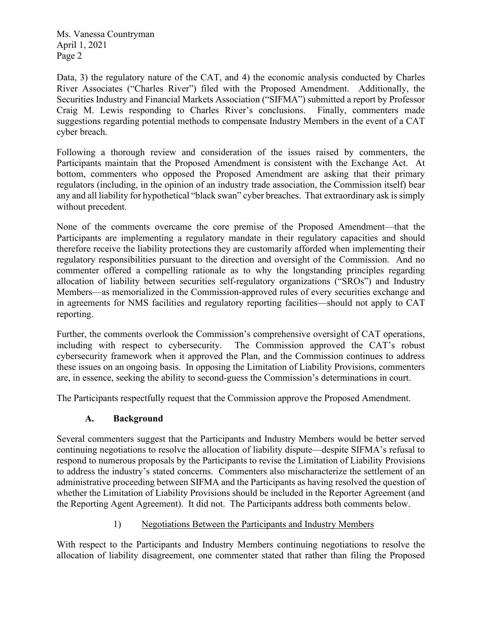Data, 3) the regulatory nature of the CAT, and 4) the economic analysis conducted by Charles River Associates ("Charles River") filed with the Proposed Amendment. Additionally, the Securities Industry and Financial Markets Association ("SIFMA") submitted a report by Professor Craig M. Lewis responding to Charles River's conclusions. Finally, commenters made suggestions regarding potential methods to compensate Industry Members in the event of a CAT cyber breach.

Following a thorough review and consideration of the issues raised by commenters, the Participants maintain that the Proposed Amendment is consistent with the Exchange Act. At bottom, commenters who opposed the Proposed Amendment are asking that their primary regulators (including, in the opinion of an industry trade association, the Commission itself) bear any and all liability for hypothetical "black swan" cyber breaches. That extraordinary ask is simply without precedent.

None of the comments overcame the core premise of the Proposed Amendment—that the Participants are implementing a regulatory mandate in their regulatory capacities and should therefore receive the liability protections they are customarily afforded when implementing their regulatory responsibilities pursuant to the direction and oversight of the Commission. And no commenter offered a compelling rationale as to why the longstanding principles regarding allocation of liability between securities self-regulatory organizations ("SROs") and Industry Members—as memorialized in the Commission-approved rules of every securities exchange and in agreements for NMS facilities and regulatory reporting facilities—should not apply to CAT reporting.

Further, the comments overlook the Commission's comprehensive oversight of CAT operations, including with respect to cybersecurity. The Commission approved the CAT's robust cybersecurity framework when it approved the Plan, and the Commission continues to address these issues on an ongoing basis. In opposing the Limitation of Liability Provisions, commenters are, in essence, seeking the ability to second-guess the Commission's determinations in court.

The Participants respectfully request that the Commission approve the Proposed Amendment.

# **A. Background**

Several commenters suggest that the Participants and Industry Members would be better served continuing negotiations to resolve the allocation of liability dispute—despite SIFMA's refusal to respond to numerous proposals by the Participants to revise the Limitation of Liability Provisions to address the industry's stated concerns. Commenters also mischaracterize the settlement of an administrative proceeding between SIFMA and the Participants as having resolved the question of whether the Limitation of Liability Provisions should be included in the Reporter Agreement (and the Reporting Agent Agreement). It did not. The Participants address both comments below.

# 1) Negotiations Between the Participants and Industry Members

With respect to the Participants and Industry Members continuing negotiations to resolve the allocation of liability disagreement, one commenter stated that rather than filing the Proposed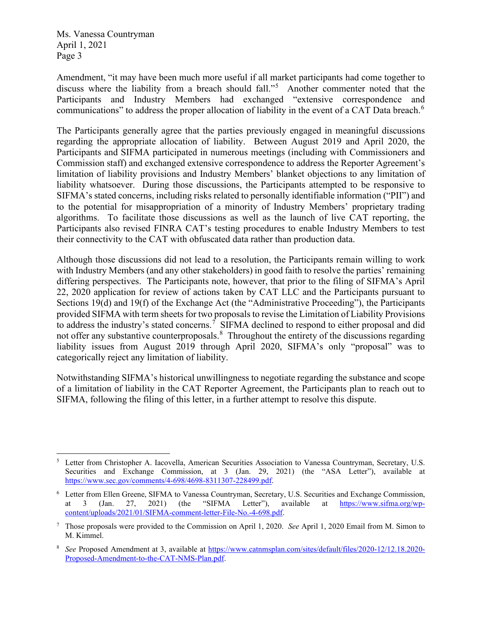Amendment, "it may have been much more useful if all market participants had come together to discuss where the liability from a breach should fall."[5](#page-2-0) Another commenter noted that the Participants and Industry Members had exchanged "extensive correspondence and communications" to address the proper allocation of liability in the event of a CAT Data breach.<sup>[6](#page-2-1)</sup>

The Participants generally agree that the parties previously engaged in meaningful discussions regarding the appropriate allocation of liability. Between August 2019 and April 2020, the Participants and SIFMA participated in numerous meetings (including with Commissioners and Commission staff) and exchanged extensive correspondence to address the Reporter Agreement's limitation of liability provisions and Industry Members' blanket objections to any limitation of liability whatsoever. During those discussions, the Participants attempted to be responsive to SIFMA's stated concerns, including risks related to personally identifiable information ("PII") and to the potential for misappropriation of a minority of Industry Members' proprietary trading algorithms. To facilitate those discussions as well as the launch of live CAT reporting, the Participants also revised FINRA CAT's testing procedures to enable Industry Members to test their connectivity to the CAT with obfuscated data rather than production data.

Although those discussions did not lead to a resolution, the Participants remain willing to work with Industry Members (and any other stakeholders) in good faith to resolve the parties' remaining differing perspectives. The Participants note, however, that prior to the filing of SIFMA's April 22, 2020 application for review of actions taken by CAT LLC and the Participants pursuant to Sections 19(d) and 19(f) of the Exchange Act (the "Administrative Proceeding"), the Participants provided SIFMA with term sheets for two proposals to revise the Limitation of Liability Provisions to address the industry's stated concerns.<sup>[7](#page-2-2)</sup> SIFMA declined to respond to either proposal and did not offer any substantive counterproposals. $8$  Throughout the entirety of the discussions regarding liability issues from August 2019 through April 2020, SIFMA's only "proposal" was to categorically reject any limitation of liability.

Notwithstanding SIFMA's historical unwillingness to negotiate regarding the substance and scope of a limitation of liability in the CAT Reporter Agreement, the Participants plan to reach out to SIFMA, following the filing of this letter, in a further attempt to resolve this dispute.

<span id="page-2-0"></span><sup>5</sup> Letter from Christopher A. Iacovella, American Securities Association to Vanessa Countryman, Secretary, U.S. Securities and Exchange Commission, at 3 (Jan. 29, 2021) (the "ASA Letter"), available at [https://www.sec.gov/comments/4-698/4698-8311307-228499.pdf.](https://www.sec.gov/comments/4-698/4698-8311307-228499.pdf)

<span id="page-2-1"></span><sup>&</sup>lt;sup>6</sup> Letter from Ellen Greene, SIFMA to Vanessa Countryman, Secretary, U.S. Securities and Exchange Commission, at  $3$  (Jan. 27, 2021) (the "SIFMA Letter"), available at https://www.sifma.org/wpat 3 (Jan. 27, 2021) (the "SIFMA Letter"), available at [https://www.sifma.org/wp](https://www.sifma.org/wp-content/uploads/2021/01/SIFMA-comment-letter-File-No.-4-698.pdf)[content/uploads/2021/01/SIFMA-comment-letter-File-No.-4-698.pdf.](https://www.sifma.org/wp-content/uploads/2021/01/SIFMA-comment-letter-File-No.-4-698.pdf)

<span id="page-2-2"></span><sup>7</sup> Those proposals were provided to the Commission on April 1, 2020. *See* April 1, 2020 Email from M. Simon to M. Kimmel.

<span id="page-2-3"></span><sup>8</sup> *See* Proposed Amendment at 3, available at [https://www.catnmsplan.com/sites/default/files/2020-12/12.18.2020-](https://www.catnmsplan.com/sites/default/files/2020-12/12.18.2020-Proposed-Amendment-to-the-CAT-NMS-Plan.pdf) [Proposed-Amendment-to-the-CAT-NMS-Plan.pdf.](https://www.catnmsplan.com/sites/default/files/2020-12/12.18.2020-Proposed-Amendment-to-the-CAT-NMS-Plan.pdf)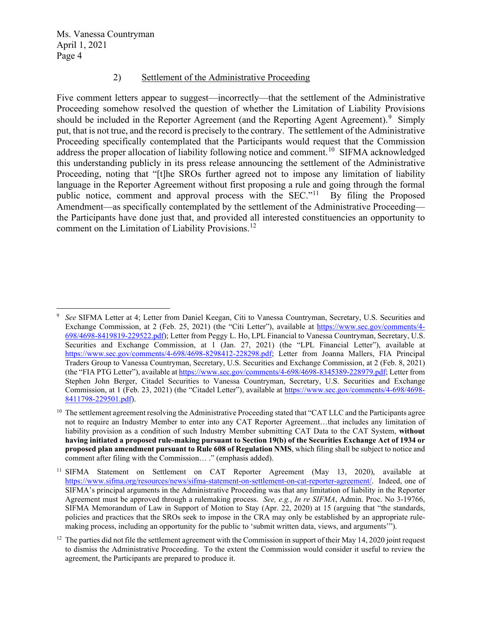#### 2) Settlement of the Administrative Proceeding

Five comment letters appear to suggest—incorrectly—that the settlement of the Administrative Proceeding somehow resolved the question of whether the Limitation of Liability Provisions should be included in the Reporter Agreement (and the Reporting Agent Agreement).<sup>[9](#page-3-0)</sup> Simply put, that is not true, and the record is precisely to the contrary. The settlement of the Administrative Proceeding specifically contemplated that the Participants would request that the Commission address the proper allocation of liability following notice and comment.<sup>[10](#page-3-1)</sup> SIFMA acknowledged this understanding publicly in its press release announcing the settlement of the Administrative Proceeding, noting that "[t]he SROs further agreed not to impose any limitation of liability language in the Reporter Agreement without first proposing a rule and going through the formal public notice, comment and approval process with the SEC."[11](#page-3-2) By filing the Proposed Amendment—as specifically contemplated by the settlement of the Administrative Proceeding the Participants have done just that, and provided all interested constituencies an opportunity to comment on the Limitation of Liability Provisions.<sup>[12](#page-3-3)</sup>

<span id="page-3-0"></span><sup>9</sup> *See* SIFMA Letter at 4; Letter from Daniel Keegan, Citi to Vanessa Countryman, Secretary, U.S. Securities and Exchange Commission, at 2 (Feb. 25, 2021) (the "Citi Letter"), available at [https://www.sec.gov/comments/4-](https://www.sec.gov/comments/4-698/4698-8419819-229522.pdf) [698/4698-8419819-229522.pdf\)](https://www.sec.gov/comments/4-698/4698-8419819-229522.pdf); Letter from Peggy L. Ho, LPL Financial to Vanessa Countryman, Secretary, U.S. Securities and Exchange Commission, at 1 (Jan. 27, 2021) (the "LPL Financial Letter"), available at [https://www.sec.gov/comments/4-698/4698-8298412-228298.pdf;](https://www.sec.gov/comments/4-698/4698-8298412-228298.pdf) Letter from Joanna Mallers, FIA Principal Traders Group to Vanessa Countryman, Secretary, U.S. Securities and Exchange Commission, at 2 (Feb. 8, 2021) (the "FIA PTG Letter"), available a[t https://www.sec.gov/comments/4-698/4698-8345389-228979.pdf;](https://www.sec.gov/comments/4-698/4698-8345389-228979.pdf) Letter from Stephen John Berger, Citadel Securities to Vanessa Countryman, Secretary, U.S. Securities and Exchange Commission, at 1 (Feb. 23, 2021) (the "Citadel Letter"), available at [https://www.sec.gov/comments/4-698/4698-](https://www.sec.gov/comments/4-698/4698-8411798-229501.pdf) [8411798-229501.pdf\)](https://www.sec.gov/comments/4-698/4698-8411798-229501.pdf).

<span id="page-3-1"></span><sup>&</sup>lt;sup>10</sup> The settlement agreement resolving the Administrative Proceeding stated that "CAT LLC and the Participants agree not to require an Industry Member to enter into any CAT Reporter Agreement…that includes any limitation of liability provision as a condition of such Industry Member submitting CAT Data to the CAT System, **without having initiated a proposed rule-making pursuant to Section 19(b) of the Securities Exchange Act of 1934 or proposed plan amendment pursuant to Rule 608 of Regulation NMS**, which filing shall be subject to notice and comment after filing with the Commission… ." (emphasis added).

<span id="page-3-2"></span><sup>&</sup>lt;sup>11</sup> SIFMA Statement on Settlement on CAT Reporter Agreement (May 13, 2020), available at [https://www.sifma.org/resources/news/sifma-statement-on-settlement-on-cat-reporter-agreement/.](https://www.sifma.org/resources/news/sifma-statement-on-settlement-on-cat-reporter-agreement/) Indeed, one of SIFMA's principal arguments in the Administrative Proceeding was that any limitation of liability in the Reporter Agreement must be approved through a rulemaking process. *See, e.g.*, *In re SIFMA*, Admin. Proc. No 3-19766, SIFMA Memorandum of Law in Support of Motion to Stay (Apr. 22, 2020) at 15 (arguing that "the standards, policies and practices that the SROs seek to impose in the CRA may only be established by an appropriate rulemaking process, including an opportunity for the public to 'submit written data, views, and arguments'").

<span id="page-3-3"></span> $12$  The parties did not file the settlement agreement with the Commission in support of their May 14, 2020 joint request to dismiss the Administrative Proceeding. To the extent the Commission would consider it useful to review the agreement, the Participants are prepared to produce it.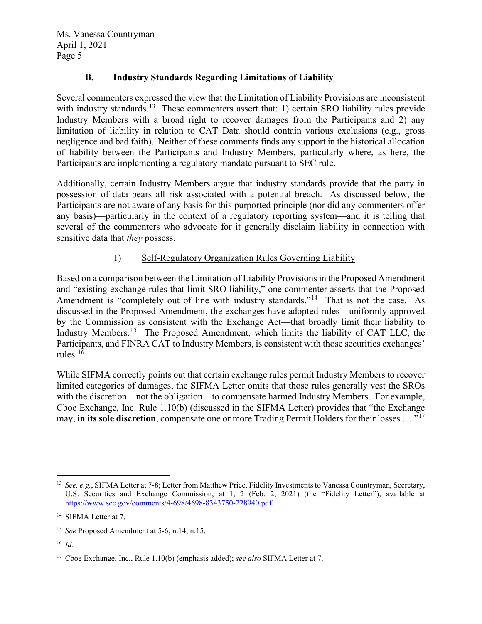### **B. Industry Standards Regarding Limitations of Liability**

Several commenters expressed the view that the Limitation of Liability Provisions are inconsistent with industry standards.<sup>13</sup> These commenters assert that: 1) certain SRO liability rules provide Industry Members with a broad right to recover damages from the Participants and 2) any limitation of liability in relation to CAT Data should contain various exclusions (e.g., gross negligence and bad faith). Neither of these comments finds any support in the historical allocation of liability between the Participants and Industry Members, particularly where, as here, the Participants are implementing a regulatory mandate pursuant to SEC rule.

Additionally, certain Industry Members argue that industry standards provide that the party in possession of data bears all risk associated with a potential breach. As discussed below, the Participants are not aware of any basis for this purported principle (nor did any commenters offer any basis)—particularly in the context of a regulatory reporting system—and it is telling that several of the commenters who advocate for it generally disclaim liability in connection with sensitive data that *they* possess.

### 1) Self-Regulatory Organization Rules Governing Liability

Based on a comparison between the Limitation of Liability Provisions in the Proposed Amendment and "existing exchange rules that limit SRO liability," one commenter asserts that the Proposed Amendment is "completely out of line with industry standards."<sup>14</sup> That is not the case. As discussed in the Proposed Amendment, the exchanges have adopted rules—uniformly approved by the Commission as consistent with the Exchange Act—that broadly limit their liability to Industry Members.<sup>15</sup> The Proposed Amendment, which limits the liability of CAT LLC, the Participants, and FINRA CAT to Industry Members, is consistent with those securities exchanges' rules. [16](#page-4-3)

While SIFMA correctly points out that certain exchange rules permit Industry Members to recover limited categories of damages, the SIFMA Letter omits that those rules generally vest the SROs with the discretion—not the obligation—to compensate harmed Industry Members. For example, Cboe Exchange, Inc. Rule 1.10(b) (discussed in the SIFMA Letter) provides that "the Exchange may, **in its sole discretion**, compensate one or more Trading Permit Holders for their losses ....<sup>"[17](#page-4-4)</sup>

<span id="page-4-0"></span><sup>13</sup> *See, e.g.*, SIFMA Letter at 7-8; Letter from Matthew Price, Fidelity Investments to Vanessa Countryman, Secretary, U.S. Securities and Exchange Commission, at 1, 2 (Feb. 2, 2021) (the "Fidelity Letter"), available at [https://www.sec.gov/comments/4-698/4698-8343750-228940.pdf.](https://www.sec.gov/comments/4-698/4698-8343750-228940.pdf) 

<span id="page-4-1"></span><sup>&</sup>lt;sup>14</sup> SIFMA Letter at 7.

<span id="page-4-2"></span><sup>15</sup> *See* Proposed Amendment at 5-6, n.14, n.15.

<span id="page-4-3"></span><sup>16</sup> *Id.*

<span id="page-4-4"></span><sup>17</sup> Cboe Exchange, Inc., Rule 1.10(b) (emphasis added); *see also* SIFMA Letter at 7.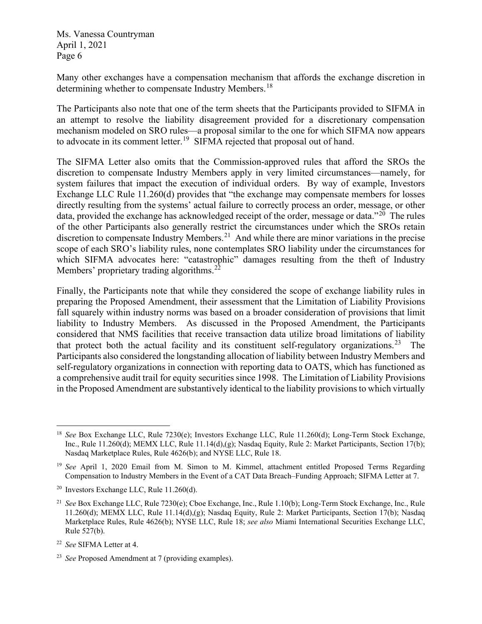Many other exchanges have a compensation mechanism that affords the exchange discretion in determining whether to compensate Industry Members.<sup>[18](#page-5-0)</sup>

The Participants also note that one of the term sheets that the Participants provided to SIFMA in an attempt to resolve the liability disagreement provided for a discretionary compensation mechanism modeled on SRO rules—a proposal similar to the one for which SIFMA now appears to advocate in its comment letter.<sup>19</sup> SIFMA rejected that proposal out of hand.

The SIFMA Letter also omits that the Commission-approved rules that afford the SROs the discretion to compensate Industry Members apply in very limited circumstances—namely, for system failures that impact the execution of individual orders. By way of example, Investors Exchange LLC Rule 11.260(d) provides that "the exchange may compensate members for losses directly resulting from the systems' actual failure to correctly process an order, message, or other data, provided the exchange has acknowledged receipt of the order, message or data."<sup>20</sup> The rules of the other Participants also generally restrict the circumstances under which the SROs retain discretion to compensate Industry Members.<sup>[21](#page-5-3)</sup> And while there are minor variations in the precise scope of each SRO's liability rules, none contemplates SRO liability under the circumstances for which SIFMA advocates here: "catastrophic" damages resulting from the theft of Industry Members' proprietary trading algorithms.<sup>[22](#page-5-4)</sup>

Finally, the Participants note that while they considered the scope of exchange liability rules in preparing the Proposed Amendment, their assessment that the Limitation of Liability Provisions fall squarely within industry norms was based on a broader consideration of provisions that limit liability to Industry Members. As discussed in the Proposed Amendment, the Participants considered that NMS facilities that receive transaction data utilize broad limitations of liability that protect both the actual facility and its constituent self-regulatory organizations.<sup>23</sup> The Participants also considered the longstanding allocation of liability between Industry Members and self-regulatory organizations in connection with reporting data to OATS, which has functioned as a comprehensive audit trail for equity securities since 1998. The Limitation of Liability Provisions in the Proposed Amendment are substantively identical to the liability provisions to which virtually

<span id="page-5-0"></span><sup>18</sup> *See* Box Exchange LLC, Rule 7230(e); Investors Exchange LLC, Rule 11.260(d); Long-Term Stock Exchange, Inc., Rule 11.260(d); MEMX LLC, Rule 11.14(d),(g); Nasdaq Equity, Rule 2: Market Participants, Section 17(b); Nasdaq Marketplace Rules, Rule 4626(b); and NYSE LLC, Rule 18.

<span id="page-5-1"></span><sup>19</sup> *See* April 1, 2020 Email from M. Simon to M. Kimmel, attachment entitled Proposed Terms Regarding Compensation to Industry Members in the Event of a CAT Data Breach–Funding Approach; SIFMA Letter at 7.

<span id="page-5-2"></span> $20$  Investors Exchange LLC, Rule 11.260(d).

<span id="page-5-3"></span><sup>21</sup> *See* Box Exchange LLC, Rule 7230(e); Cboe Exchange, Inc., Rule 1.10(b); Long-Term Stock Exchange, Inc., Rule 11.260(d); MEMX LLC, Rule 11.14(d),(g); Nasdaq Equity, Rule 2: Market Participants, Section 17(b); Nasdaq Marketplace Rules, Rule 4626(b); NYSE LLC, Rule 18; *see also* Miami International Securities Exchange LLC, Rule 527(b).

<span id="page-5-4"></span><sup>22</sup> *See* SIFMA Letter at 4.

<span id="page-5-5"></span><sup>23</sup> *See* Proposed Amendment at 7 (providing examples).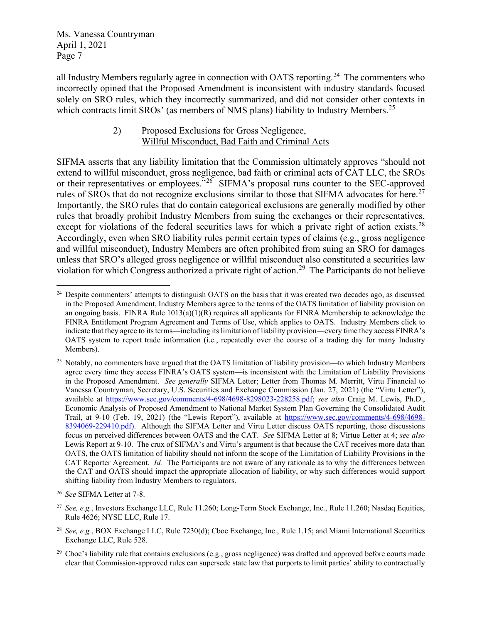all Industry Members regularly agree in connection with OATS reporting.<sup>[24](#page-6-0)</sup> The commenters who incorrectly opined that the Proposed Amendment is inconsistent with industry standards focused solely on SRO rules, which they incorrectly summarized, and did not consider other contexts in which contracts limit SROs' (as members of NMS plans) liability to Industry Members.<sup>[25](#page-6-1)</sup>

### 2) Proposed Exclusions for Gross Negligence, Willful Misconduct, Bad Faith and Criminal Acts

SIFMA asserts that any liability limitation that the Commission ultimately approves "should not extend to willful misconduct, gross negligence, bad faith or criminal acts of CAT LLC, the SROs or their representatives or employees."<sup>[26](#page-6-2)</sup> SIFMA's proposal runs counter to the SEC-approved rules of SROs that do not recognize exclusions similar to those that SIFMA advocates for here.<sup>[27](#page-6-3)</sup> Importantly, the SRO rules that do contain categorical exclusions are generally modified by other rules that broadly prohibit Industry Members from suing the exchanges or their representatives, except for violations of the federal securities laws for which a private right of action exists.<sup>[28](#page-6-4)</sup> Accordingly, even when SRO liability rules permit certain types of claims (e.g., gross negligence and willful misconduct), Industry Members are often prohibited from suing an SRO for damages unless that SRO's alleged gross negligence or willful misconduct also constituted a securities law violation for which Congress authorized a private right of action.[29](#page-6-5) The Participants do not believe

<span id="page-6-0"></span><sup>&</sup>lt;sup>24</sup> Despite commenters' attempts to distinguish OATS on the basis that it was created two decades ago, as discussed in the Proposed Amendment, Industry Members agree to the terms of the OATS limitation of liability provision on an ongoing basis. FINRA Rule  $1013(a)(1)(R)$  requires all applicants for FINRA Membership to acknowledge the FINRA Entitlement Program Agreement and Terms of Use, which applies to OATS. Industry Members click to indicate that they agree to its terms—including its limitation of liability provision—every time they access FINRA's OATS system to report trade information (i.e., repeatedly over the course of a trading day for many Industry Members).

<span id="page-6-1"></span><sup>&</sup>lt;sup>25</sup> Notably, no commenters have argued that the OATS limitation of liability provision—to which Industry Members agree every time they access FINRA's OATS system—is inconsistent with the Limitation of Liability Provisions in the Proposed Amendment. *See generally* SIFMA Letter; Letter from Thomas M. Merritt, Virtu Financial to Vanessa Countryman, Secretary, U.S. Securities and Exchange Commission (Jan. 27, 2021) (the "Virtu Letter"), available at [https://www.sec.gov/comments/4-698/4698-8298023-228258.pdf;](https://www.sec.gov/comments/4-698/4698-8298023-228258.pdf) *see also* Craig M. Lewis, Ph.D., Economic Analysis of Proposed Amendment to National Market System Plan Governing the Consolidated Audit Trail, at 9-10 (Feb. 19, 2021) (the "Lewis Report"), available at [https://www.sec.gov/comments/4-698/4698-](https://www.sec.gov/comments/4-698/4698-8394069-229410.pdf) [8394069-229410.pdf\)](https://www.sec.gov/comments/4-698/4698-8394069-229410.pdf). Although the SIFMA Letter and Virtu Letter discuss OATS reporting, those discussions focus on perceived differences between OATS and the CAT. *See* SIFMA Letter at 8; Virtue Letter at 4; *see also*  Lewis Report at 9-10. The crux of SIFMA's and Virtu's argument is that because the CAT receives more data than OATS, the OATS limitation of liability should not inform the scope of the Limitation of Liability Provisions in the CAT Reporter Agreement. *Id.* The Participants are not aware of any rationale as to why the differences between the CAT and OATS should impact the appropriate allocation of liability, or why such differences would support shifting liability from Industry Members to regulators.

<span id="page-6-2"></span><sup>26</sup> *See* SIFMA Letter at 7-8.

<span id="page-6-3"></span><sup>27</sup> *See, e.g.*, Investors Exchange LLC, Rule 11.260; Long-Term Stock Exchange, Inc., Rule 11.260; Nasdaq Equities, Rule 4626; NYSE LLC, Rule 17.

<span id="page-6-4"></span><sup>28</sup> *See, e.g.*, BOX Exchange LLC, Rule 7230(d); Cboe Exchange, Inc., Rule 1.15; and Miami International Securities Exchange LLC, Rule 528.

<span id="page-6-5"></span><sup>&</sup>lt;sup>29</sup> Cboe's liability rule that contains exclusions (e.g., gross negligence) was drafted and approved before courts made clear that Commission-approved rules can supersede state law that purports to limit parties' ability to contractually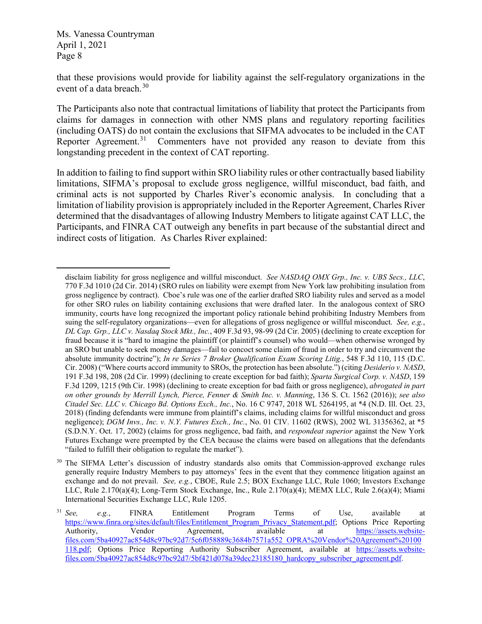that these provisions would provide for liability against the self-regulatory organizations in the event of a data breach.<sup>[30](#page-7-0)</sup>

The Participants also note that contractual limitations of liability that protect the Participants from claims for damages in connection with other NMS plans and regulatory reporting facilities (including OATS) do not contain the exclusions that SIFMA advocates to be included in the CAT Reporter Agreement.<sup>[31](#page-7-1)</sup> Commenters have not provided any reason to deviate from this longstanding precedent in the context of CAT reporting.

In addition to failing to find support within SRO liability rules or other contractually based liability limitations, SIFMA's proposal to exclude gross negligence, willful misconduct, bad faith, and criminal acts is not supported by Charles River's economic analysis. In concluding that a limitation of liability provision is appropriately included in the Reporter Agreement, Charles River determined that the disadvantages of allowing Industry Members to litigate against CAT LLC, the Participants, and FINRA CAT outweigh any benefits in part because of the substantial direct and indirect costs of litigation. As Charles River explained:

disclaim liability for gross negligence and willful misconduct. *See NASDAQ OMX Grp., Inc. v. UBS Secs., LLC*, 770 F.3d 1010 (2d Cir. 2014) (SRO rules on liability were exempt from New York law prohibiting insulation from gross negligence by contract). Cboe's rule was one of the earlier drafted SRO liability rules and served as a model for other SRO rules on liability containing exclusions that were drafted later. In the analogous context of SRO immunity, courts have long recognized the important policy rationale behind prohibiting Industry Members from suing the self-regulatory organizations—even for allegations of gross negligence or willful misconduct. *See, e.g.*, *DL Cap. Grp., LLC v. Nasdaq Stock Mkt., Inc.*, 409 F.3d 93, 98-99 (2d Cir. 2005) (declining to create exception for fraud because it is "hard to imagine the plaintiff (or plaintiff's counsel) who would—when otherwise wronged by an SRO but unable to seek money damages—fail to concoct some claim of fraud in order to try and circumvent the absolute immunity doctrine"); *In re Series 7 Broker Qualification Exam Scoring Litig.*, 548 F.3d 110, 115 (D.C. Cir. 2008) ("Where courts accord immunity to SROs, the protection has been absolute.") (citing *Desiderio v. NASD*, 191 F.3d 198, 208 (2d Cir. 1999) (declining to create exception for bad faith); *Sparta Surgical Corp. v. NASD*, 159 F.3d 1209, 1215 (9th Cir. 1998) (declining to create exception for bad faith or gross negligence), *abrogated in part on other grounds by Merrill Lynch, Pierce, Fenner & Smith Inc. v. Manning*, 136 S. Ct. 1562 (2016)); *see also Citadel Sec. LLC v. Chicago Bd. Options Exch., Inc.*, No. 16 C 9747, 2018 WL 5264195, at \*4 (N.D. Ill. Oct. 23, 2018) (finding defendants were immune from plaintiff's claims, including claims for willful misconduct and gross negligence); *DGM Invs., Inc. v. N.Y. Futures Exch., Inc.*, No. 01 CIV. 11602 (RWS), 2002 WL 31356362, at \*5 (S.D.N.Y. Oct. 17, 2002) (claims for gross negligence, bad faith, and *respondeat superior* against the New York Futures Exchange were preempted by the CEA because the claims were based on allegations that the defendants "failed to fulfill their obligation to regulate the market").

<span id="page-7-0"></span><sup>&</sup>lt;sup>30</sup> The SIFMA Letter's discussion of industry standards also omits that Commission-approved exchange rules generally require Industry Members to pay attorneys' fees in the event that they commence litigation against an exchange and do not prevail. *See, e.g.*, CBOE, Rule 2.5; BOX Exchange LLC, Rule 1060; Investors Exchange LLC, Rule 2.170(a)(4); Long-Term Stock Exchange, Inc., Rule 2.170(a)(4); MEMX LLC, Rule 2.6(a)(4); Miami International Securities Exchange LLC, Rule 1205.

<span id="page-7-1"></span><sup>31</sup> *See, e.g.*, FINRA Entitlement Program Terms of Use, available at [https://www.finra.org/sites/default/files/Entitlement\\_Program\\_Privacy\\_Statement.pdf;](https://www.finra.org/sites/default/files/Entitlement_Program_Privacy_Statement.pdf) Options Price Reporting Authority, Vendor Agreement, available at [https://assets.website](https://assets.website-files.com/5ba40927ac854d8c97bc92d7/5c6f058889c3684b7571a552_OPRA%20Vendor%20Agreement%20100118.pdf)[files.com/5ba40927ac854d8c97bc92d7/5c6f058889c3684b7571a552\\_OPRA%20Vendor%20Agreement%20100](https://assets.website-files.com/5ba40927ac854d8c97bc92d7/5c6f058889c3684b7571a552_OPRA%20Vendor%20Agreement%20100118.pdf) [118.pdf;](https://assets.website-files.com/5ba40927ac854d8c97bc92d7/5c6f058889c3684b7571a552_OPRA%20Vendor%20Agreement%20100118.pdf) Options Price Reporting Authority Subscriber Agreement, available at [https://assets.website](https://assets.website-files.com/5ba40927ac854d8c97bc92d7/5bf421d078a39dec23185180_hardcopy_subscriber_agreement.pdf)[files.com/5ba40927ac854d8c97bc92d7/5bf421d078a39dec23185180\\_hardcopy\\_subscriber\\_agreement.pdf.](https://assets.website-files.com/5ba40927ac854d8c97bc92d7/5bf421d078a39dec23185180_hardcopy_subscriber_agreement.pdf)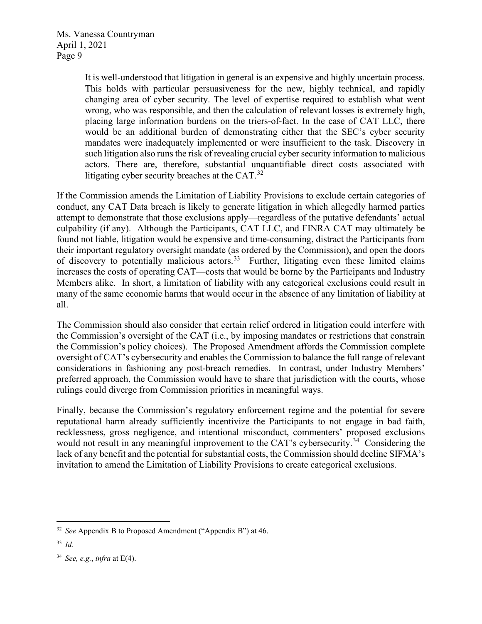> It is well-understood that litigation in general is an expensive and highly uncertain process. This holds with particular persuasiveness for the new, highly technical, and rapidly changing area of cyber security. The level of expertise required to establish what went wrong, who was responsible, and then the calculation of relevant losses is extremely high, placing large information burdens on the triers-of-fact. In the case of CAT LLC, there would be an additional burden of demonstrating either that the SEC's cyber security mandates were inadequately implemented or were insufficient to the task. Discovery in such litigation also runs the risk of revealing crucial cyber security information to malicious actors. There are, therefore, substantial unquantifiable direct costs associated with litigating cyber security breaches at the CAT.<sup>[32](#page-8-0)</sup>

If the Commission amends the Limitation of Liability Provisions to exclude certain categories of conduct, any CAT Data breach is likely to generate litigation in which allegedly harmed parties attempt to demonstrate that those exclusions apply—regardless of the putative defendants' actual culpability (if any). Although the Participants, CAT LLC, and FINRA CAT may ultimately be found not liable, litigation would be expensive and time-consuming, distract the Participants from their important regulatory oversight mandate (as ordered by the Commission), and open the doors of discovery to potentially malicious actors.<sup>[33](#page-8-1)</sup> Further, litigating even these limited claims increases the costs of operating CAT—costs that would be borne by the Participants and Industry Members alike. In short, a limitation of liability with any categorical exclusions could result in many of the same economic harms that would occur in the absence of any limitation of liability at all.

The Commission should also consider that certain relief ordered in litigation could interfere with the Commission's oversight of the CAT (i.e., by imposing mandates or restrictions that constrain the Commission's policy choices). The Proposed Amendment affords the Commission complete oversight of CAT's cybersecurity and enables the Commission to balance the full range of relevant considerations in fashioning any post-breach remedies. In contrast, under Industry Members' preferred approach, the Commission would have to share that jurisdiction with the courts, whose rulings could diverge from Commission priorities in meaningful ways.

Finally, because the Commission's regulatory enforcement regime and the potential for severe reputational harm already sufficiently incentivize the Participants to not engage in bad faith, recklessness, gross negligence, and intentional misconduct, commenters' proposed exclusions would not result in any meaningful improvement to the CAT's cybersecurity.<sup>34</sup> Considering the lack of any benefit and the potential for substantial costs, the Commission should decline SIFMA's invitation to amend the Limitation of Liability Provisions to create categorical exclusions.

<span id="page-8-0"></span><sup>32</sup> *See* Appendix B to Proposed Amendment ("Appendix B") at 46.

<span id="page-8-1"></span><sup>33</sup> *Id.*

<span id="page-8-2"></span><sup>34</sup> *See, e.g.*, *infra* at E(4).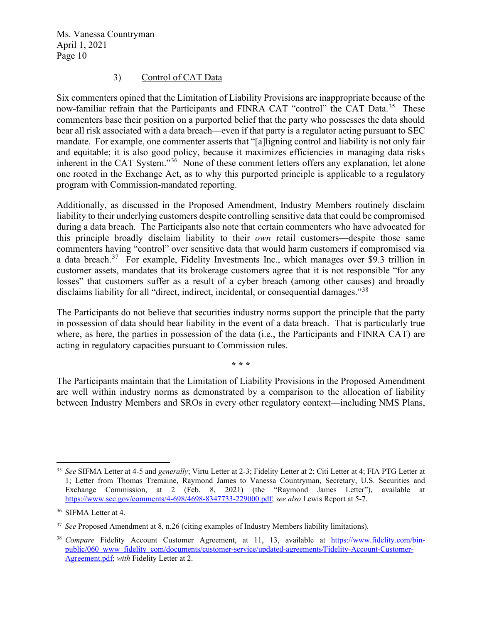#### 3) Control of CAT Data

Six commenters opined that the Limitation of Liability Provisions are inappropriate because of the now-familiar refrain that the Participants and FINRA CAT "control" the CAT Data.<sup>[35](#page-9-0)</sup> These commenters base their position on a purported belief that the party who possesses the data should bear all risk associated with a data breach—even if that party is a regulator acting pursuant to SEC mandate. For example, one commenter asserts that "[a]ligning control and liability is not only fair and equitable; it is also good policy, because it maximizes efficiencies in managing data risks inherent in the CAT System." $3\overline{6}$  None of these comment letters offers any explanation, let alone one rooted in the Exchange Act, as to why this purported principle is applicable to a regulatory program with Commission-mandated reporting.

Additionally, as discussed in the Proposed Amendment, Industry Members routinely disclaim liability to their underlying customers despite controlling sensitive data that could be compromised during a data breach. The Participants also note that certain commenters who have advocated for this principle broadly disclaim liability to their *own* retail customers—despite those same commenters having "control" over sensitive data that would harm customers if compromised via a data breach.<sup>[37](#page-9-2)</sup> For example, Fidelity Investments Inc., which manages over \$9.3 trillion in customer assets, mandates that its brokerage customers agree that it is not responsible "for any losses" that customers suffer as a result of a cyber breach (among other causes) and broadly disclaims liability for all "direct, indirect, incidental, or consequential damages."<sup>[38](#page-9-3)</sup>

The Participants do not believe that securities industry norms support the principle that the party in possession of data should bear liability in the event of a data breach. That is particularly true where, as here, the parties in possession of the data (i.e., the Participants and FINRA CAT) are acting in regulatory capacities pursuant to Commission rules.

**\* \* \***

The Participants maintain that the Limitation of Liability Provisions in the Proposed Amendment are well within industry norms as demonstrated by a comparison to the allocation of liability between Industry Members and SROs in every other regulatory context—including NMS Plans,

<span id="page-9-0"></span><sup>35</sup> *See* SIFMA Letter at 4-5 and *generally*; Virtu Letter at 2-3; Fidelity Letter at 2; Citi Letter at 4; FIA PTG Letter at 1; Letter from Thomas Tremaine, Raymond James to Vanessa Countryman, Secretary, U.S. Securities and Exchange Commission, at 2 (Feb. 8, 2021) (the "Raymond James Letter"), available at [https://www.sec.gov/comments/4-698/4698-8347733-229000.pdf;](https://www.sec.gov/comments/4-698/4698-8347733-229000.pdf) *see also* Lewis Report at 5-7.

<span id="page-9-1"></span><sup>36</sup> SIFMA Letter at 4.

<span id="page-9-2"></span><sup>37</sup> *See* Proposed Amendment at 8, n.26 (citing examples of Industry Members liability limitations).

<span id="page-9-3"></span><sup>38</sup> *Compare* Fidelity Account Customer Agreement, at 11, 13, available at [https://www.fidelity.com/bin](https://www.fidelity.com/bin-public/060_www_fidelity_com/documents/customer-service/updated-agreements/Fidelity-Account-Customer-Agreement.pdf)[public/060\\_www\\_fidelity\\_com/documents/customer-service/updated-agreements/Fidelity-Account-Customer-](https://www.fidelity.com/bin-public/060_www_fidelity_com/documents/customer-service/updated-agreements/Fidelity-Account-Customer-Agreement.pdf)[Agreement.pdf;](https://www.fidelity.com/bin-public/060_www_fidelity_com/documents/customer-service/updated-agreements/Fidelity-Account-Customer-Agreement.pdf) *with* Fidelity Letter at 2.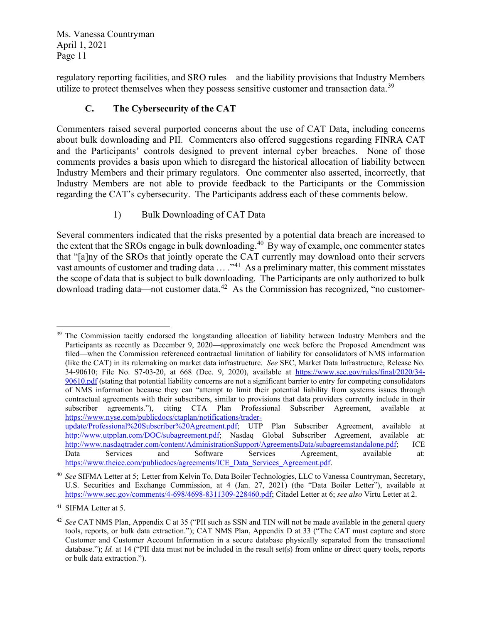regulatory reporting facilities, and SRO rules—and the liability provisions that Industry Members utilize to protect themselves when they possess sensitive customer and transaction data.<sup>[39](#page-10-0)</sup>

# **C. The Cybersecurity of the CAT**

Commenters raised several purported concerns about the use of CAT Data, including concerns about bulk downloading and PII. Commenters also offered suggestions regarding FINRA CAT and the Participants' controls designed to prevent internal cyber breaches. None of those comments provides a basis upon which to disregard the historical allocation of liability between Industry Members and their primary regulators. One commenter also asserted, incorrectly, that Industry Members are not able to provide feedback to the Participants or the Commission regarding the CAT's cybersecurity. The Participants address each of these comments below.

## 1) Bulk Downloading of CAT Data

Several commenters indicated that the risks presented by a potential data breach are increased to the extent that the SROs engage in bulk downloading.<sup>[40](#page-10-1)</sup> By way of example, one commenter states that "[a]ny of the SROs that jointly operate the CAT currently may download onto their servers vast amounts of customer and trading data  $\dots$  ."<sup>[41](#page-10-2)</sup> As a preliminary matter, this comment misstates the scope of data that is subject to bulk downloading. The Participants are only authorized to bulk download trading data—not customer data.<sup>42</sup> As the Commission has recognized, "no customer-

<span id="page-10-0"></span><sup>&</sup>lt;sup>39</sup> The Commission tacitly endorsed the longstanding allocation of liability between Industry Members and the Participants as recently as December 9, 2020—approximately one week before the Proposed Amendment was filed—when the Commission referenced contractual limitation of liability for consolidators of NMS information (like the CAT) in its rulemaking on market data infrastructure. *See* SEC, Market Data Infrastructure, Release No. 34-90610; File No. S7-03-20, at 668 (Dec. 9, 2020), available at [https://www.sec.gov/rules/final/2020/34-](https://www.sec.gov/rules/final/2020/34-90610.pdf) [90610.pdf](https://www.sec.gov/rules/final/2020/34-90610.pdf) (stating that potential liability concerns are not a significant barrier to entry for competing consolidators of NMS information because they can "attempt to limit their potential liability from systems issues through contractual agreements with their subscribers, similar to provisions that data providers currently include in their subscriber agreements."), citing CTA Plan Professional Subscriber Agreement, available at [https://www.nyse.com/publicdocs/ctaplan/notifications/trader](https://www.nyse.com/publicdocs/ctaplan/notifications/trader-update/Professional%20Subscriber%20Agreement.pdf)[update/Professional%20Subscriber%20Agreement.pdf;](https://www.nyse.com/publicdocs/ctaplan/notifications/trader-update/Professional%20Subscriber%20Agreement.pdf) UTP Plan Subscriber Agreement, available at

[http://www.utpplan.com/DOC/subagreement.pdf;](http://www.utpplan.com/DOC/subagreement.pdf) Nasdaq Global Subscriber Agreement, available at: [http://www.nasdaqtrader.com/content/AdministrationSupport/AgreementsData/subagreemstandalone.pdf;](http://www.nasdaqtrader.com/content/AdministrationSupport/AgreementsData/subagreemstandalone.pdf) ICE Data Services and Software Services Agreement, available at: [https://www.theice.com/publicdocs/agreements/ICE\\_Data\\_Services\\_Agreement.pdf.](https://www.theice.com/publicdocs/agreements/ICE_Data_Services_Agreement.pdf)

<span id="page-10-1"></span><sup>40</sup> *See* SIFMA Letter at 5; Letter from Kelvin To, Data Boiler Technologies, LLC to Vanessa Countryman, Secretary, U.S. Securities and Exchange Commission, at 4 (Jan. 27, 2021) (the "Data Boiler Letter"), available at [https://www.sec.gov/comments/4-698/4698-8311309-228460.pdf;](https://www.sec.gov/comments/4-698/4698-8311309-228460.pdf) Citadel Letter at 6; *see also* Virtu Letter at 2.

<span id="page-10-2"></span><sup>41</sup> SIFMA Letter at 5.

<span id="page-10-3"></span><sup>42</sup> *See* CAT NMS Plan, Appendix C at 35 ("PII such as SSN and TIN will not be made available in the general query tools, reports, or bulk data extraction."); CAT NMS Plan, Appendix D at 33 ("The CAT must capture and store Customer and Customer Account Information in a secure database physically separated from the transactional database."); *Id.* at 14 ("PII data must not be included in the result set(s) from online or direct query tools, reports or bulk data extraction.").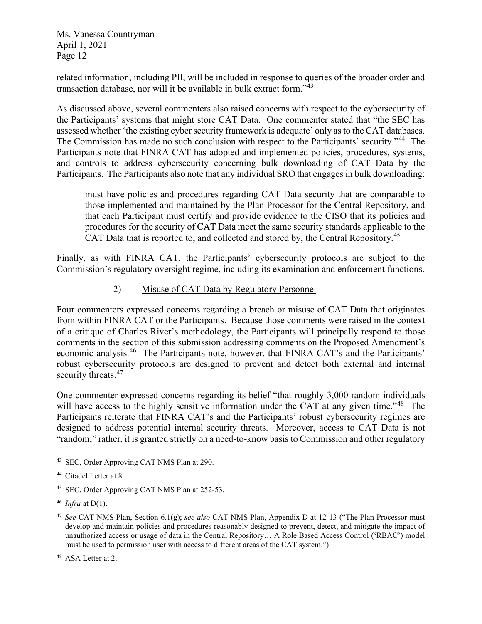related information, including PII, will be included in response to queries of the broader order and transaction database, nor will it be available in bulk extract form."[43](#page-11-0)

As discussed above, several commenters also raised concerns with respect to the cybersecurity of the Participants' systems that might store CAT Data. One commenter stated that "the SEC has assessed whether 'the existing cyber security framework is adequate' only as to the CAT databases. The Commission has made no such conclusion with respect to the Participants' security."<sup>44</sup> The Participants note that FINRA CAT has adopted and implemented policies, procedures, systems, and controls to address cybersecurity concerning bulk downloading of CAT Data by the Participants. The Participants also note that any individual SRO that engages in bulk downloading:

must have policies and procedures regarding CAT Data security that are comparable to those implemented and maintained by the Plan Processor for the Central Repository, and that each Participant must certify and provide evidence to the CISO that its policies and procedures for the security of CAT Data meet the same security standards applicable to the CAT Data that is reported to, and collected and stored by, the Central Repository.<sup>[45](#page-11-2)</sup>

Finally, as with FINRA CAT, the Participants' cybersecurity protocols are subject to the Commission's regulatory oversight regime, including its examination and enforcement functions.

### 2) Misuse of CAT Data by Regulatory Personnel

Four commenters expressed concerns regarding a breach or misuse of CAT Data that originates from within FINRA CAT or the Participants. Because those comments were raised in the context of a critique of Charles River's methodology, the Participants will principally respond to those comments in the section of this submission addressing comments on the Proposed Amendment's economic analysis.[46](#page-11-3) The Participants note, however, that FINRA CAT's and the Participants' robust cybersecurity protocols are designed to prevent and detect both external and internal security threats.<sup>47</sup>

One commenter expressed concerns regarding its belief "that roughly 3,000 random individuals will have access to the highly sensitive information under the CAT at any given time."<sup>[48](#page-11-5)</sup> The Participants reiterate that FINRA CAT's and the Participants' robust cybersecurity regimes are designed to address potential internal security threats. Moreover, access to CAT Data is not "random;" rather, it is granted strictly on a need-to-know basis to Commission and other regulatory

<span id="page-11-0"></span><sup>43</sup> SEC, Order Approving CAT NMS Plan at 290.

<span id="page-11-1"></span><sup>44</sup> Citadel Letter at 8.

<span id="page-11-2"></span><sup>45</sup> SEC, Order Approving CAT NMS Plan at 252-53.

<span id="page-11-3"></span><sup>46</sup> *Infra* at D(1).

<span id="page-11-4"></span><sup>47</sup> *See* CAT NMS Plan, Section 6.1(g); *see also* CAT NMS Plan, Appendix D at 12-13 ("The Plan Processor must develop and maintain policies and procedures reasonably designed to prevent, detect, and mitigate the impact of unauthorized access or usage of data in the Central Repository… A Role Based Access Control ('RBAC') model must be used to permission user with access to different areas of the CAT system.").

<span id="page-11-5"></span><sup>48</sup> ASA Letter at 2.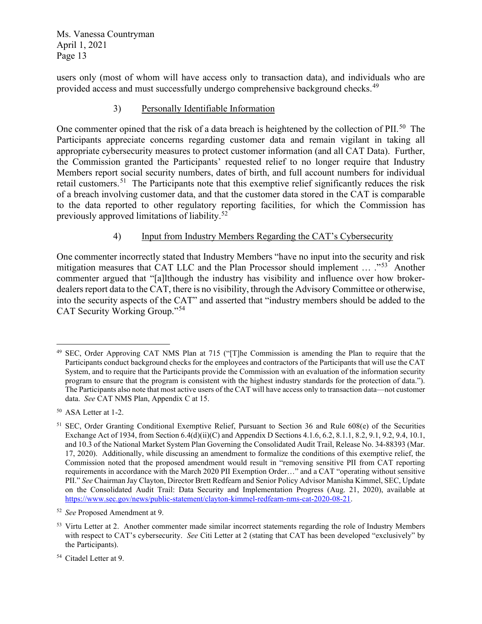users only (most of whom will have access only to transaction data), and individuals who are provided access and must successfully undergo comprehensive background checks.<sup>49</sup>

### 3) Personally Identifiable Information

One commenter opined that the risk of a data breach is heightened by the collection of PII.<sup>[50](#page-12-1)</sup> The Participants appreciate concerns regarding customer data and remain vigilant in taking all appropriate cybersecurity measures to protect customer information (and all CAT Data). Further, the Commission granted the Participants' requested relief to no longer require that Industry Members report social security numbers, dates of birth, and full account numbers for individual retail customers.<sup>51</sup> The Participants note that this exemptive relief significantly reduces the risk of a breach involving customer data, and that the customer data stored in the CAT is comparable to the data reported to other regulatory reporting facilities, for which the Commission has previously approved limitations of liability.[52](#page-12-3)

## 4) Input from Industry Members Regarding the CAT's Cybersecurity

One commenter incorrectly stated that Industry Members "have no input into the security and risk mitigation measures that CAT LLC and the Plan Processor should implement ... ...<sup>553</sup> Another commenter argued that "[a]lthough the industry has visibility and influence over how brokerdealers report data to the CAT, there is no visibility, through the Advisory Committee or otherwise, into the security aspects of the CAT" and asserted that "industry members should be added to the CAT Security Working Group."[54](#page-12-5)

<span id="page-12-0"></span><sup>49</sup> SEC, Order Approving CAT NMS Plan at 715 ("[T]he Commission is amending the Plan to require that the Participants conduct background checks for the employees and contractors of the Participants that will use the CAT System, and to require that the Participants provide the Commission with an evaluation of the information security program to ensure that the program is consistent with the highest industry standards for the protection of data."). The Participants also note that most active users of the CAT will have access only to transaction data—not customer data. *See* CAT NMS Plan, Appendix C at 15.

<span id="page-12-1"></span><sup>50</sup> ASA Letter at 1-2.

<span id="page-12-2"></span><sup>51</sup> SEC, Order Granting Conditional Exemptive Relief, Pursuant to Section 36 and Rule 608(e) of the Securities Exchange Act of 1934, from Section 6.4(d)(ii)(C) and Appendix D Sections 4.1.6, 6.2, 8.1.1, 8.2, 9.1, 9.2, 9.4, 10.1, and 10.3 of the National Market System Plan Governing the Consolidated Audit Trail, Release No. 34-88393 (Mar. 17, 2020). Additionally, while discussing an amendment to formalize the conditions of this exemptive relief, the Commission noted that the proposed amendment would result in "removing sensitive PII from CAT reporting requirements in accordance with the March 2020 PII Exemption Order…" and a CAT "operating without sensitive PII." *See* Chairman Jay Clayton, Director Brett Redfearn and Senior Policy Advisor Manisha Kimmel, SEC, Update on the Consolidated Audit Trail: Data Security and Implementation Progress (Aug. 21, 2020), available at [https://www.sec.gov/news/public-statement/clayton-kimmel-redfearn-nms-cat-2020-08-21.](https://www.sec.gov/news/public-statement/clayton-kimmel-redfearn-nms-cat-2020-08-21)

<span id="page-12-3"></span><sup>52</sup> *See* Proposed Amendment at 9.

<span id="page-12-4"></span><sup>&</sup>lt;sup>53</sup> Virtu Letter at 2. Another commenter made similar incorrect statements regarding the role of Industry Members with respect to CAT's cybersecurity. *See* Citi Letter at 2 (stating that CAT has been developed "exclusively" by the Participants).

<span id="page-12-5"></span><sup>54</sup> Citadel Letter at 9.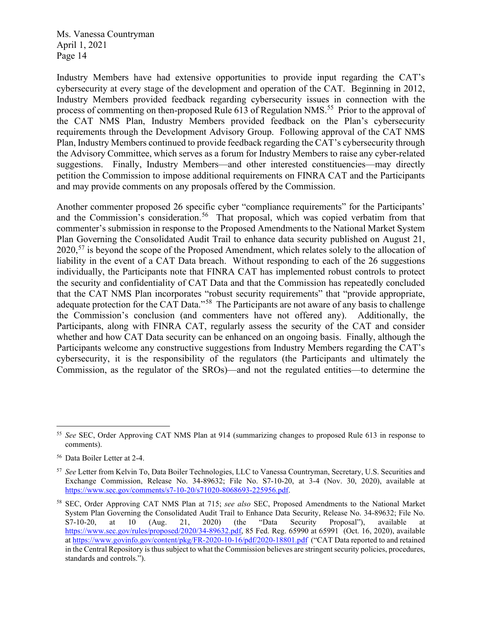Industry Members have had extensive opportunities to provide input regarding the CAT's cybersecurity at every stage of the development and operation of the CAT. Beginning in 2012, Industry Members provided feedback regarding cybersecurity issues in connection with the process of commenting on then-proposed Rule 613 of Regulation NMS.<sup>[55](#page-13-0)</sup> Prior to the approval of the CAT NMS Plan, Industry Members provided feedback on the Plan's cybersecurity requirements through the Development Advisory Group. Following approval of the CAT NMS Plan, Industry Members continued to provide feedback regarding the CAT's cybersecurity through the Advisory Committee, which serves as a forum for Industry Members to raise any cyber-related suggestions. Finally, Industry Members—and other interested constituencies—may directly petition the Commission to impose additional requirements on FINRA CAT and the Participants and may provide comments on any proposals offered by the Commission.

Another commenter proposed 26 specific cyber "compliance requirements" for the Participants' and the Commission's consideration.<sup>56</sup> That proposal, which was copied verbatim from that commenter's submission in response to the Proposed Amendments to the National Market System Plan Governing the Consolidated Audit Trail to enhance data security published on August 21, 2020,<sup>[57](#page-13-2)</sup> is beyond the scope of the Proposed Amendment, which relates solely to the allocation of liability in the event of a CAT Data breach. Without responding to each of the 26 suggestions individually, the Participants note that FINRA CAT has implemented robust controls to protect the security and confidentiality of CAT Data and that the Commission has repeatedly concluded that the CAT NMS Plan incorporates "robust security requirements" that "provide appropriate, adequate protection for the CAT Data."[58](#page-13-3) The Participants are not aware of any basis to challenge the Commission's conclusion (and commenters have not offered any). Additionally, the Participants, along with FINRA CAT, regularly assess the security of the CAT and consider whether and how CAT Data security can be enhanced on an ongoing basis. Finally, although the Participants welcome any constructive suggestions from Industry Members regarding the CAT's cybersecurity, it is the responsibility of the regulators (the Participants and ultimately the Commission, as the regulator of the SROs)—and not the regulated entities—to determine the

<span id="page-13-0"></span><sup>55</sup> *See* SEC, Order Approving CAT NMS Plan at 914 (summarizing changes to proposed Rule 613 in response to comments).

<span id="page-13-1"></span><sup>56</sup> Data Boiler Letter at 2-4.

<span id="page-13-2"></span><sup>57</sup> *See* Letter from Kelvin To, Data Boiler Technologies, LLC to Vanessa Countryman, Secretary, U.S. Securities and Exchange Commission, Release No. 34-89632; File No. S7-10-20, at 3-4 (Nov. 30, 2020), available at [https://www.sec.gov/comments/s7-10-20/s71020-8068693-225956.pdf.](https://www.sec.gov/comments/s7-10-20/s71020-8068693-225956.pdf)

<span id="page-13-3"></span><sup>58</sup> SEC, Order Approving CAT NMS Plan at 715; *see also* SEC, Proposed Amendments to the National Market System Plan Governing the Consolidated Audit Trail to Enhance Data Security, Release No. 34-89632; File No. S7-10-20, at 10 (Aug. 21, 2020) (the "Data Security Proposal"), available at [https://www.sec.gov/rules/proposed/2020/34-89632.pdf,](https://www.sec.gov/rules/proposed/2020/34-89632.pdf) 85 Fed. Reg. 65990 at 65991 (Oct. 16, 2020), available a[t https://www.govinfo.gov/content/pkg/FR-2020-10-16/pdf/2020-18801.pdf](https://www.govinfo.gov/content/pkg/FR-2020-10-16/pdf/2020-18801.pdf) ("CAT Data reported to and retained in the Central Repository is thus subject to what the Commission believes are stringent security policies, procedures, standards and controls.").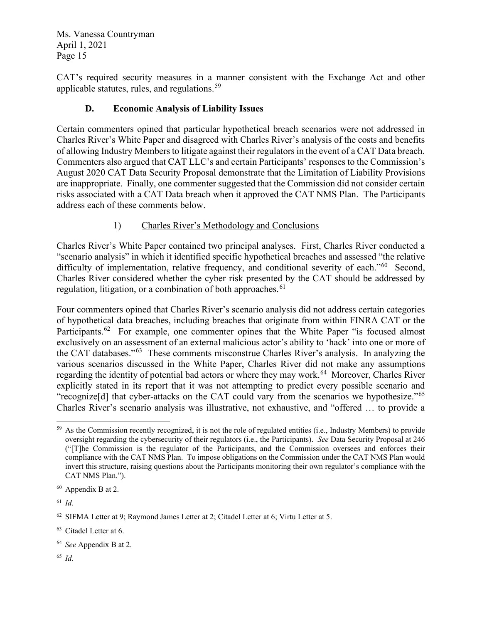CAT's required security measures in a manner consistent with the Exchange Act and other applicable statutes, rules, and regulations.<sup>59</sup>

## **D. Economic Analysis of Liability Issues**

Certain commenters opined that particular hypothetical breach scenarios were not addressed in Charles River's White Paper and disagreed with Charles River's analysis of the costs and benefits of allowing Industry Members to litigate against their regulators in the event of a CAT Data breach. Commenters also argued that CAT LLC's and certain Participants' responses to the Commission's August 2020 CAT Data Security Proposal demonstrate that the Limitation of Liability Provisions are inappropriate. Finally, one commenter suggested that the Commission did not consider certain risks associated with a CAT Data breach when it approved the CAT NMS Plan. The Participants address each of these comments below.

## 1) Charles River's Methodology and Conclusions

Charles River's White Paper contained two principal analyses. First, Charles River conducted a "scenario analysis" in which it identified specific hypothetical breaches and assessed "the relative difficulty of implementation, relative frequency, and conditional severity of each."<sup>[60](#page-14-1)</sup> Second, Charles River considered whether the cyber risk presented by the CAT should be addressed by regulation, litigation, or a combination of both approaches.  $61$ 

Four commenters opined that Charles River's scenario analysis did not address certain categories of hypothetical data breaches, including breaches that originate from within FINRA CAT or the Participants.<sup>[62](#page-14-3)</sup> For example, one commenter opines that the White Paper "is focused almost exclusively on an assessment of an external malicious actor's ability to 'hack' into one or more of the CAT databases."[63](#page-14-4) These comments misconstrue Charles River's analysis. In analyzing the various scenarios discussed in the White Paper, Charles River did not make any assumptions regarding the identity of potential bad actors or where they may work.<sup>[64](#page-14-5)</sup> Moreover, Charles River explicitly stated in its report that it was not attempting to predict every possible scenario and "recognize[d] that cyber-attacks on the CAT could vary from the scenarios we hypothesize."[65](#page-14-6) Charles River's scenario analysis was illustrative, not exhaustive, and "offered … to provide a

<span id="page-14-6"></span><sup>65</sup> *Id.*

<span id="page-14-0"></span><sup>&</sup>lt;sup>59</sup> As the Commission recently recognized, it is not the role of regulated entities (i.e., Industry Members) to provide oversight regarding the cybersecurity of their regulators (i.e., the Participants). *See* Data Security Proposal at 246 ("[T]he Commission is the regulator of the Participants, and the Commission oversees and enforces their compliance with the CAT NMS Plan. To impose obligations on the Commission under the CAT NMS Plan would invert this structure, raising questions about the Participants monitoring their own regulator's compliance with the CAT NMS Plan.").

<span id="page-14-1"></span><sup>60</sup> Appendix B at 2.

<span id="page-14-2"></span><sup>61</sup> *Id.* 

<span id="page-14-3"></span> $62$  SIFMA Letter at 9; Raymond James Letter at 2; Citadel Letter at 6; Virtu Letter at 5.

<span id="page-14-4"></span><sup>63</sup> Citadel Letter at 6.

<span id="page-14-5"></span><sup>64</sup> *See* Appendix B at 2.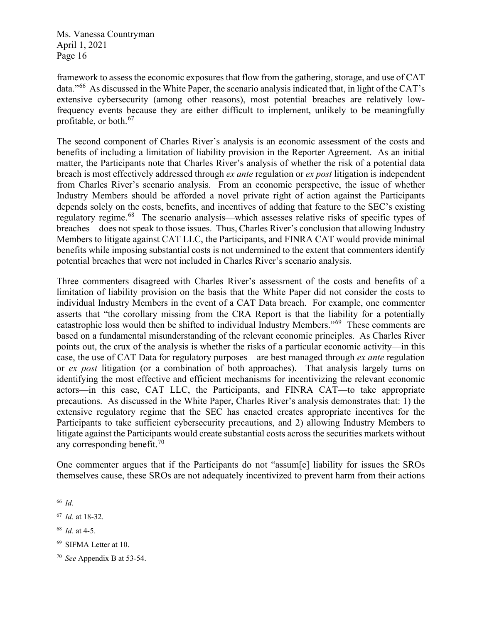framework to assess the economic exposures that flow from the gathering, storage, and use of CAT data."[66](#page-15-0) As discussed in the White Paper, the scenario analysis indicated that, in light of the CAT's extensive cybersecurity (among other reasons), most potential breaches are relatively lowfrequency events because they are either difficult to implement, unlikely to be meaningfully profitable, or both.[67](#page-15-1)

The second component of Charles River's analysis is an economic assessment of the costs and benefits of including a limitation of liability provision in the Reporter Agreement. As an initial matter, the Participants note that Charles River's analysis of whether the risk of a potential data breach is most effectively addressed through *ex ante* regulation or *ex post* litigation is independent from Charles River's scenario analysis. From an economic perspective, the issue of whether Industry Members should be afforded a novel private right of action against the Participants depends solely on the costs, benefits, and incentives of adding that feature to the SEC's existing regulatory regime.<sup>68</sup> The scenario analysis—which assesses relative risks of specific types of breaches—does not speak to those issues. Thus, Charles River's conclusion that allowing Industry Members to litigate against CAT LLC, the Participants, and FINRA CAT would provide minimal benefits while imposing substantial costs is not undermined to the extent that commenters identify potential breaches that were not included in Charles River's scenario analysis.

Three commenters disagreed with Charles River's assessment of the costs and benefits of a limitation of liability provision on the basis that the White Paper did not consider the costs to individual Industry Members in the event of a CAT Data breach. For example, one commenter asserts that "the corollary missing from the CRA Report is that the liability for a potentially catastrophic loss would then be shifted to individual Industry Members."[69](#page-15-3) These comments are based on a fundamental misunderstanding of the relevant economic principles. As Charles River points out, the crux of the analysis is whether the risks of a particular economic activity—in this case, the use of CAT Data for regulatory purposes—are best managed through *ex ante* regulation or *ex post* litigation (or a combination of both approaches). That analysis largely turns on identifying the most effective and efficient mechanisms for incentivizing the relevant economic actors—in this case, CAT LLC, the Participants, and FINRA CAT—to take appropriate precautions. As discussed in the White Paper, Charles River's analysis demonstrates that: 1) the extensive regulatory regime that the SEC has enacted creates appropriate incentives for the Participants to take sufficient cybersecurity precautions, and 2) allowing Industry Members to litigate against the Participants would create substantial costs across the securities markets without any corresponding benefit.  $70^{\circ}$  $70^{\circ}$ 

One commenter argues that if the Participants do not "assum[e] liability for issues the SROs themselves cause, these SROs are not adequately incentivized to prevent harm from their actions

<span id="page-15-0"></span><sup>66</sup> *Id.*

<span id="page-15-1"></span><sup>67</sup> *Id.* at 18-32.

<span id="page-15-2"></span><sup>68</sup> *Id.* at 4-5.

<span id="page-15-3"></span><sup>69</sup> SIFMA Letter at 10.

<span id="page-15-4"></span><sup>70</sup> *See* Appendix B at 53-54.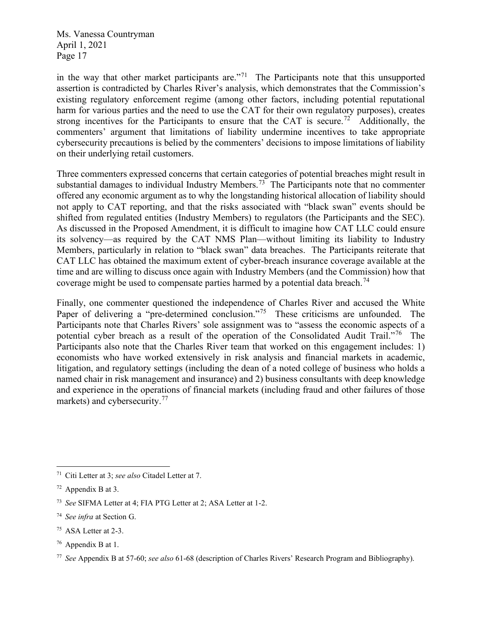in the way that other market participants are."<sup>71</sup> The Participants note that this unsupported assertion is contradicted by Charles River's analysis, which demonstrates that the Commission's existing regulatory enforcement regime (among other factors, including potential reputational harm for various parties and the need to use the CAT for their own regulatory purposes), creates strong incentives for the Participants to ensure that the CAT is secure.<sup>[72](#page-16-1)</sup> Additionally, the commenters' argument that limitations of liability undermine incentives to take appropriate cybersecurity precautions is belied by the commenters' decisions to impose limitations of liability on their underlying retail customers.

Three commenters expressed concerns that certain categories of potential breaches might result in substantial damages to individual Industry Members.<sup>73</sup> The Participants note that no commenter offered any economic argument as to why the longstanding historical allocation of liability should not apply to CAT reporting, and that the risks associated with "black swan" events should be shifted from regulated entities (Industry Members) to regulators (the Participants and the SEC). As discussed in the Proposed Amendment, it is difficult to imagine how CAT LLC could ensure its solvency—as required by the CAT NMS Plan—without limiting its liability to Industry Members, particularly in relation to "black swan" data breaches. The Participants reiterate that CAT LLC has obtained the maximum extent of cyber-breach insurance coverage available at the time and are willing to discuss once again with Industry Members (and the Commission) how that coverage might be used to compensate parties harmed by a potential data breach.<sup>74</sup>

Finally, one commenter questioned the independence of Charles River and accused the White Paper of delivering a "pre-determined conclusion."<sup>75</sup> These criticisms are unfounded. The Participants note that Charles Rivers' sole assignment was to "assess the economic aspects of a potential cyber breach as a result of the operation of the Consolidated Audit Trail."<sup>76</sup> The Participants also note that the Charles River team that worked on this engagement includes: 1) economists who have worked extensively in risk analysis and financial markets in academic, litigation, and regulatory settings (including the dean of a noted college of business who holds a named chair in risk management and insurance) and 2) business consultants with deep knowledge and experience in the operations of financial markets (including fraud and other failures of those markets) and cybersecurity.<sup>[77](#page-16-6)</sup>

- <span id="page-16-4"></span><sup>75</sup> ASA Letter at 2-3.
- <span id="page-16-5"></span><sup>76</sup> Appendix B at 1.

<span id="page-16-0"></span><sup>71</sup> Citi Letter at 3; *see also* Citadel Letter at 7.

<span id="page-16-1"></span> $72$  Appendix B at 3.

<span id="page-16-2"></span><sup>73</sup> *See* SIFMA Letter at 4; FIA PTG Letter at 2; ASA Letter at 1-2.

<span id="page-16-3"></span><sup>74</sup> *See infra* at Section G.

<span id="page-16-6"></span><sup>77</sup> *See* Appendix B at 57-60; *see also* 61-68 (description of Charles Rivers' Research Program and Bibliography).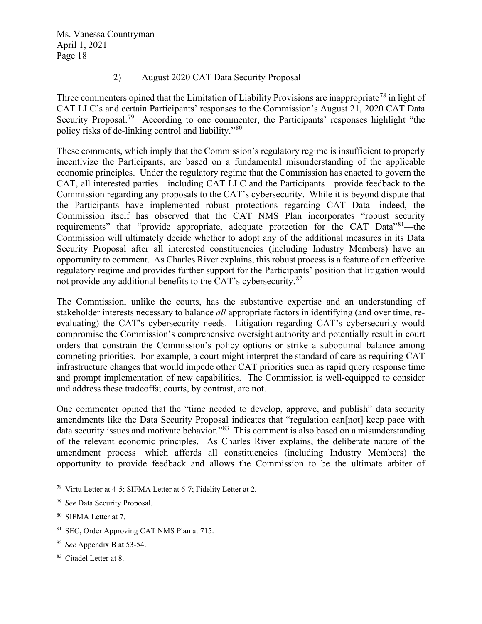#### 2) August 2020 CAT Data Security Proposal

Three commenters opined that the Limitation of Liability Provisions are inappropriate<sup>[78](#page-17-0)</sup> in light of CAT LLC's and certain Participants' responses to the Commission's August 21, 2020 CAT Data Security Proposal.<sup>79</sup> According to one commenter, the Participants' responses highlight "the policy risks of de-linking control and liability."[80](#page-17-2) 

These comments, which imply that the Commission's regulatory regime is insufficient to properly incentivize the Participants, are based on a fundamental misunderstanding of the applicable economic principles. Under the regulatory regime that the Commission has enacted to govern the CAT, all interested parties—including CAT LLC and the Participants—provide feedback to the Commission regarding any proposals to the CAT's cybersecurity. While it is beyond dispute that the Participants have implemented robust protections regarding CAT Data—indeed, the Commission itself has observed that the CAT NMS Plan incorporates "robust security requirements" that "provide appropriate, adequate protection for the CAT Data"<sup>81</sup>—the Commission will ultimately decide whether to adopt any of the additional measures in its Data Security Proposal after all interested constituencies (including Industry Members) have an opportunity to comment. As Charles River explains, this robust process is a feature of an effective regulatory regime and provides further support for the Participants' position that litigation would not provide any additional benefits to the CAT's cybersecurity.<sup>[82](#page-17-4)</sup>

The Commission, unlike the courts, has the substantive expertise and an understanding of stakeholder interests necessary to balance *all* appropriate factors in identifying (and over time, reevaluating) the CAT's cybersecurity needs. Litigation regarding CAT's cybersecurity would compromise the Commission's comprehensive oversight authority and potentially result in court orders that constrain the Commission's policy options or strike a suboptimal balance among competing priorities. For example, a court might interpret the standard of care as requiring CAT infrastructure changes that would impede other CAT priorities such as rapid query response time and prompt implementation of new capabilities. The Commission is well-equipped to consider and address these tradeoffs; courts, by contrast, are not.

One commenter opined that the "time needed to develop, approve, and publish" data security amendments like the Data Security Proposal indicates that "regulation can[not] keep pace with data security issues and motivate behavior."[83](#page-17-5) This comment is also based on a misunderstanding of the relevant economic principles. As Charles River explains, the deliberate nature of the amendment process—which affords all constituencies (including Industry Members) the opportunity to provide feedback and allows the Commission to be the ultimate arbiter of

<span id="page-17-0"></span><sup>78</sup> Virtu Letter at 4-5; SIFMA Letter at 6-7; Fidelity Letter at 2.

<span id="page-17-1"></span><sup>79</sup> *See* Data Security Proposal.

<span id="page-17-2"></span><sup>80</sup> SIFMA Letter at 7.

<span id="page-17-3"></span><sup>81</sup> SEC, Order Approving CAT NMS Plan at 715.

<span id="page-17-4"></span><sup>82</sup> *See* Appendix B at 53-54.

<span id="page-17-5"></span><sup>83</sup> Citadel Letter at 8.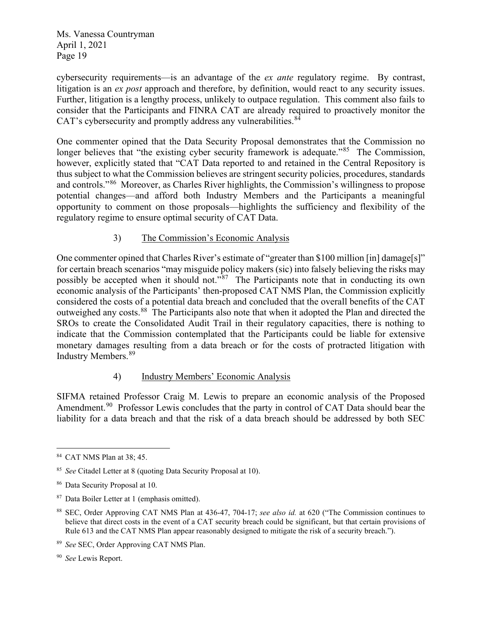cybersecurity requirements—is an advantage of the *ex ante* regulatory regime. By contrast, litigation is an *ex post* approach and therefore, by definition, would react to any security issues. Further, litigation is a lengthy process, unlikely to outpace regulation. This comment also fails to consider that the Participants and FINRA CAT are already required to proactively monitor the CAT's cybersecurity and promptly address any vulnerabilities.<sup>[84](#page-18-0)</sup>

One commenter opined that the Data Security Proposal demonstrates that the Commission no longer believes that "the existing cyber security framework is adequate."<sup>[85](#page-18-1)</sup> The Commission, however, explicitly stated that "CAT Data reported to and retained in the Central Repository is thus subject to what the Commission believes are stringent security policies, procedures, standards and controls."[86](#page-18-2) Moreover, as Charles River highlights, the Commission's willingness to propose potential changes—and afford both Industry Members and the Participants a meaningful opportunity to comment on those proposals—highlights the sufficiency and flexibility of the regulatory regime to ensure optimal security of CAT Data.

### 3) The Commission's Economic Analysis

One commenter opined that Charles River's estimate of "greater than \$100 million [in] damage[s]" for certain breach scenarios "may misguide policy makers (sic) into falsely believing the risks may possibly be accepted when it should not."[87](#page-18-3) The Participants note that in conducting its own economic analysis of the Participants' then-proposed CAT NMS Plan, the Commission explicitly considered the costs of a potential data breach and concluded that the overall benefits of the CAT outweighed any costs.[88](#page-18-4) The Participants also note that when it adopted the Plan and directed the SROs to create the Consolidated Audit Trail in their regulatory capacities, there is nothing to indicate that the Commission contemplated that the Participants could be liable for extensive monetary damages resulting from a data breach or for the costs of protracted litigation with Industry Members.[89](#page-18-5) 

### 4) Industry Members' Economic Analysis

SIFMA retained Professor Craig M. Lewis to prepare an economic analysis of the Proposed Amendment.<sup>[90](#page-18-6)</sup> Professor Lewis concludes that the party in control of CAT Data should bear the liability for a data breach and that the risk of a data breach should be addressed by both SEC

<span id="page-18-0"></span><sup>84</sup> CAT NMS Plan at 38; 45.

<span id="page-18-1"></span><sup>85</sup> *See* Citadel Letter at 8 (quoting Data Security Proposal at 10).

<span id="page-18-2"></span><sup>86</sup> Data Security Proposal at 10.

<span id="page-18-3"></span><sup>87</sup> Data Boiler Letter at 1 (emphasis omitted).

<span id="page-18-4"></span><sup>88</sup> SEC, Order Approving CAT NMS Plan at 436-47, 704-17; *see also id.* at 620 ("The Commission continues to believe that direct costs in the event of a CAT security breach could be significant, but that certain provisions of Rule 613 and the CAT NMS Plan appear reasonably designed to mitigate the risk of a security breach.").

<span id="page-18-5"></span><sup>89</sup> *See* SEC, Order Approving CAT NMS Plan.

<span id="page-18-6"></span><sup>90</sup> *See* Lewis Report.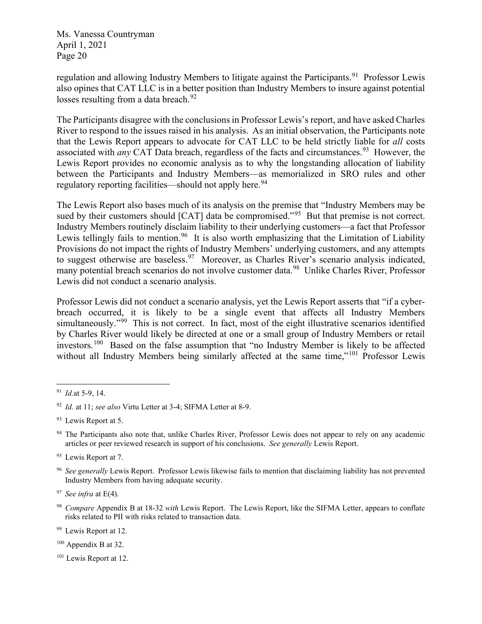regulation and allowing Industry Members to litigate against the Participants.<sup>[91](#page-19-0)</sup> Professor Lewis also opines that CAT LLC is in a better position than Industry Members to insure against potential losses resulting from a data breach.<sup>[92](#page-19-1)</sup>

The Participants disagree with the conclusions in Professor Lewis's report, and have asked Charles River to respond to the issues raised in his analysis. As an initial observation, the Participants note that the Lewis Report appears to advocate for CAT LLC to be held strictly liable for *all* costs associated with *any* CAT Data breach, regardless of the facts and circumstances.<sup>[93](#page-19-2)</sup> However, the Lewis Report provides no economic analysis as to why the longstanding allocation of liability between the Participants and Industry Members—as memorialized in SRO rules and other regulatory reporting facilities—should not apply here.<sup>94</sup>

The Lewis Report also bases much of its analysis on the premise that "Industry Members may be sued by their customers should [CAT] data be compromised."<sup>95</sup> But that premise is not correct. Industry Members routinely disclaim liability to their underlying customers—a fact that Professor Lewis tellingly fails to mention.<sup>[96](#page-19-5)</sup> It is also worth emphasizing that the Limitation of Liability Provisions do not impact the rights of Industry Members' underlying customers, and any attempts to suggest otherwise are baseless.<sup>[97](#page-19-6)</sup> Moreover, as Charles River's scenario analysis indicated, many potential breach scenarios do not involve customer data.<sup>98</sup> Unlike Charles River, Professor Lewis did not conduct a scenario analysis.

Professor Lewis did not conduct a scenario analysis, yet the Lewis Report asserts that "if a cyberbreach occurred, it is likely to be a single event that affects all Industry Members simultaneously."<sup>99</sup> This is not correct. In fact, most of the eight illustrative scenarios identified by Charles River would likely be directed at one or a small group of Industry Members or retail investors.<sup>[100](#page-19-9)</sup> Based on the false assumption that "no Industry Member is likely to be affected without all Industry Members being similarly affected at the same time,"<sup>[101](#page-19-10)</sup> Professor Lewis

<span id="page-19-8"></span><sup>99</sup> Lewis Report at 12.

<span id="page-19-9"></span><sup>100</sup> Appendix B at 32.

<span id="page-19-0"></span><sup>91</sup> *Id.*at 5-9, 14.

<span id="page-19-1"></span><sup>92</sup> *Id.* at 11; *see also* Virtu Letter at 3-4; SIFMA Letter at 8-9.

<span id="page-19-2"></span><sup>&</sup>lt;sup>93</sup> Lewis Report at 5.

<span id="page-19-3"></span><sup>&</sup>lt;sup>94</sup> The Participants also note that, unlike Charles River, Professor Lewis does not appear to rely on any academic articles or peer reviewed research in support of his conclusions. *See generally* Lewis Report.

<span id="page-19-4"></span><sup>&</sup>lt;sup>95</sup> Lewis Report at 7.

<span id="page-19-5"></span><sup>96</sup> *See generally* Lewis Report. Professor Lewis likewise fails to mention that disclaiming liability has not prevented Industry Members from having adequate security.

<span id="page-19-6"></span><sup>97</sup> *See infra* at E(4).

<span id="page-19-7"></span><sup>98</sup> *Compare* Appendix B at 18-32 *with* Lewis Report. The Lewis Report, like the SIFMA Letter, appears to conflate risks related to PII with risks related to transaction data.

<span id="page-19-10"></span><sup>&</sup>lt;sup>101</sup> Lewis Report at 12.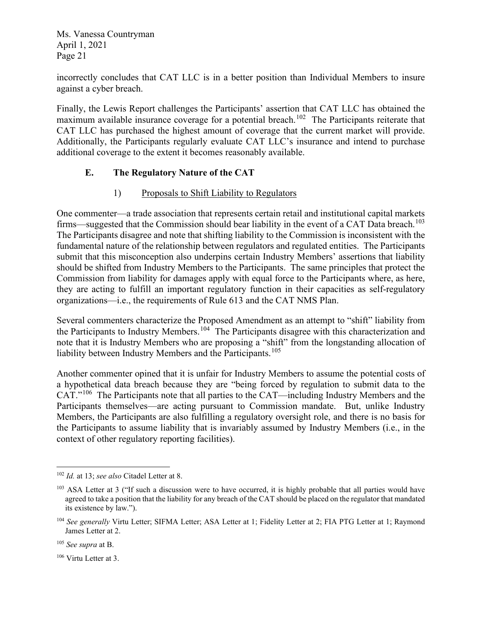incorrectly concludes that CAT LLC is in a better position than Individual Members to insure against a cyber breach.

Finally, the Lewis Report challenges the Participants' assertion that CAT LLC has obtained the maximum available insurance coverage for a potential breach.<sup>102</sup> The Participants reiterate that CAT LLC has purchased the highest amount of coverage that the current market will provide. Additionally, the Participants regularly evaluate CAT LLC's insurance and intend to purchase additional coverage to the extent it becomes reasonably available.

### **E. The Regulatory Nature of the CAT**

## 1) Proposals to Shift Liability to Regulators

One commenter—a trade association that represents certain retail and institutional capital markets firms—suggested that the Commission should bear liability in the event of a CAT Data breach.<sup>[103](#page-20-1)</sup> The Participants disagree and note that shifting liability to the Commission is inconsistent with the fundamental nature of the relationship between regulators and regulated entities. The Participants submit that this misconception also underpins certain Industry Members' assertions that liability should be shifted from Industry Members to the Participants. The same principles that protect the Commission from liability for damages apply with equal force to the Participants where, as here, they are acting to fulfill an important regulatory function in their capacities as self-regulatory organizations—i.e., the requirements of Rule 613 and the CAT NMS Plan.

Several commenters characterize the Proposed Amendment as an attempt to "shift" liability from the Participants to Industry Members.<sup>104</sup> The Participants disagree with this characterization and note that it is Industry Members who are proposing a "shift" from the longstanding allocation of liability between Industry Members and the Participants.<sup>[105](#page-20-3)</sup>

Another commenter opined that it is unfair for Industry Members to assume the potential costs of a hypothetical data breach because they are "being forced by regulation to submit data to the CAT."[106](#page-20-4) The Participants note that all parties to the CAT—including Industry Members and the Participants themselves—are acting pursuant to Commission mandate. But, unlike Industry Members, the Participants are also fulfilling a regulatory oversight role, and there is no basis for the Participants to assume liability that is invariably assumed by Industry Members (i.e., in the context of other regulatory reporting facilities).

<span id="page-20-0"></span><sup>102</sup> *Id.* at 13; *see also* Citadel Letter at 8.

<span id="page-20-1"></span><sup>&</sup>lt;sup>103</sup> ASA Letter at 3 ("If such a discussion were to have occurred, it is highly probable that all parties would have agreed to take a position that the liability for any breach of the CAT should be placed on the regulator that mandated its existence by law.").

<span id="page-20-2"></span><sup>&</sup>lt;sup>104</sup> See generally Virtu Letter; SIFMA Letter; ASA Letter at 1; Fidelity Letter at 2; FIA PTG Letter at 1; Raymond James Letter at 2.

<span id="page-20-3"></span><sup>105</sup> *See supra* at B.

<span id="page-20-4"></span><sup>106</sup> Virtu Letter at 3.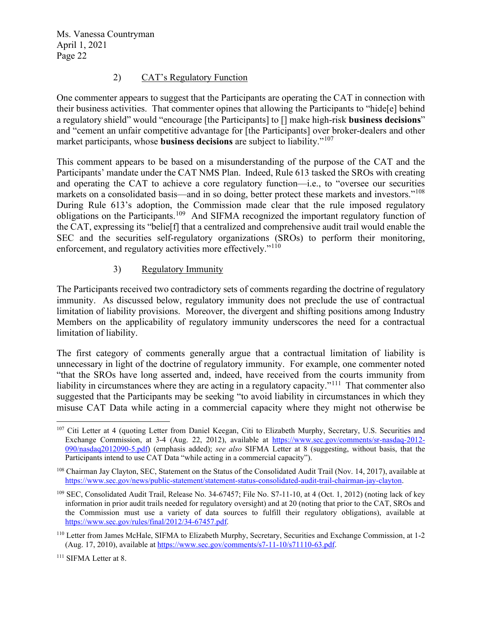### 2) CAT's Regulatory Function

One commenter appears to suggest that the Participants are operating the CAT in connection with their business activities. That commenter opines that allowing the Participants to "hide[e] behind a regulatory shield" would "encourage [the Participants] to [] make high-risk **business decisions**" and "cement an unfair competitive advantage for [the Participants] over broker-dealers and other market participants, whose **business decisions** are subject to liability."[107](#page-21-0)

This comment appears to be based on a misunderstanding of the purpose of the CAT and the Participants' mandate under the CAT NMS Plan. Indeed, Rule 613 tasked the SROs with creating and operating the CAT to achieve a core regulatory function—i.e., to "oversee our securities markets on a consolidated basis—and in so doing, better protect these markets and investors."<sup>[108](#page-21-1)</sup> During Rule 613's adoption, the Commission made clear that the rule imposed regulatory obligations on the Participants.[109](#page-21-2) And SIFMA recognized the important regulatory function of the CAT, expressing its "belie[f] that a centralized and comprehensive audit trail would enable the SEC and the securities self-regulatory organizations (SROs) to perform their monitoring, enforcement, and regulatory activities more effectively."<sup>[110](#page-21-3)</sup>

## 3) Regulatory Immunity

The Participants received two contradictory sets of comments regarding the doctrine of regulatory immunity. As discussed below, regulatory immunity does not preclude the use of contractual limitation of liability provisions. Moreover, the divergent and shifting positions among Industry Members on the applicability of regulatory immunity underscores the need for a contractual limitation of liability.

The first category of comments generally argue that a contractual limitation of liability is unnecessary in light of the doctrine of regulatory immunity. For example, one commenter noted "that the SROs have long asserted and, indeed, have received from the courts immunity from liability in circumstances where they are acting in a regulatory capacity."<sup>111</sup> That commenter also suggested that the Participants may be seeking "to avoid liability in circumstances in which they misuse CAT Data while acting in a commercial capacity where they might not otherwise be

<span id="page-21-0"></span><sup>&</sup>lt;sup>107</sup> Citi Letter at 4 (quoting Letter from Daniel Keegan, Citi to Elizabeth Murphy, Secretary, U.S. Securities and Exchange Commission, at 3-4 (Aug. 22, 2012), available at [https://www.sec.gov/comments/sr-nasdaq-2012-](https://www.sec.gov/comments/sr-nasdaq-2012-090/nasdaq2012090-5.pdf) [090/nasdaq2012090-5.pdf\)](https://www.sec.gov/comments/sr-nasdaq-2012-090/nasdaq2012090-5.pdf) (emphasis added); *see also* SIFMA Letter at 8 (suggesting, without basis, that the Participants intend to use CAT Data "while acting in a commercial capacity").

<span id="page-21-1"></span><sup>108</sup> Chairman Jay Clayton, SEC, Statement on the Status of the Consolidated Audit Trail (Nov. 14, 2017), available at [https://www.sec.gov/news/public-statement/statement-status-consolidated-audit-trail-chairman-jay-clayton.](https://www.sec.gov/news/public-statement/statement-status-consolidated-audit-trail-chairman-jay-clayton)

<span id="page-21-2"></span><sup>109</sup> SEC, Consolidated Audit Trail, Release No. 34-67457; File No. S7-11-10, at 4 (Oct. 1, 2012) (noting lack of key information in prior audit trails needed for regulatory oversight) and at 20 (noting that prior to the CAT, SROs and the Commission must use a variety of data sources to fulfill their regulatory obligations), available at [https://www.sec.gov/rules/final/2012/34-67457.pdf.](https://www.sec.gov/rules/final/2012/34-67457.pdf)

<span id="page-21-3"></span><sup>110</sup> Letter from James McHale, SIFMA to Elizabeth Murphy, Secretary, Securities and Exchange Commission, at 1-2 (Aug. 17, 2010), available at [https://www.sec.gov/comments/s7-11-10/s71110-63.pdf.](https://www.sec.gov/comments/s7-11-10/s71110-63.pdf)

<span id="page-21-4"></span><sup>&</sup>lt;sup>111</sup> SIFMA Letter at 8.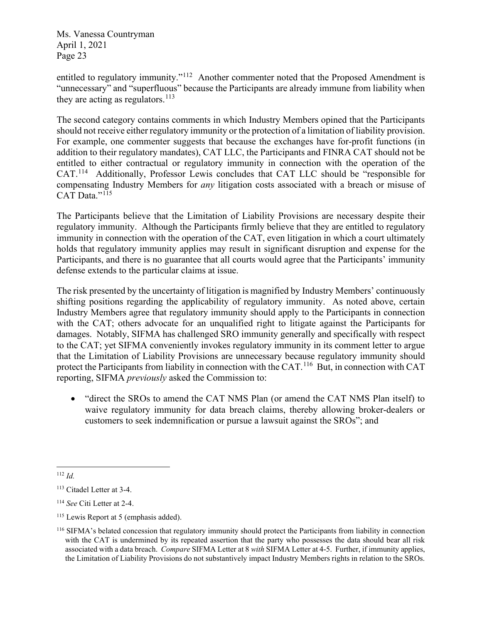entitled to regulatory immunity."<sup>112</sup> Another commenter noted that the Proposed Amendment is "unnecessary" and "superfluous" because the Participants are already immune from liability when they are acting as regulators. $^{113}$  $^{113}$  $^{113}$ 

The second category contains comments in which Industry Members opined that the Participants should not receive either regulatory immunity or the protection of a limitation of liability provision. For example, one commenter suggests that because the exchanges have for-profit functions (in addition to their regulatory mandates), CAT LLC, the Participants and FINRA CAT should not be entitled to either contractual or regulatory immunity in connection with the operation of the CAT.[114](#page-22-2) Additionally, Professor Lewis concludes that CAT LLC should be "responsible for compensating Industry Members for *any* litigation costs associated with a breach or misuse of CAT Data."<sup>[115](#page-22-3)</sup>

The Participants believe that the Limitation of Liability Provisions are necessary despite their regulatory immunity. Although the Participants firmly believe that they are entitled to regulatory immunity in connection with the operation of the CAT, even litigation in which a court ultimately holds that regulatory immunity applies may result in significant disruption and expense for the Participants, and there is no guarantee that all courts would agree that the Participants' immunity defense extends to the particular claims at issue.

The risk presented by the uncertainty of litigation is magnified by Industry Members' continuously shifting positions regarding the applicability of regulatory immunity. As noted above, certain Industry Members agree that regulatory immunity should apply to the Participants in connection with the CAT; others advocate for an unqualified right to litigate against the Participants for damages. Notably, SIFMA has challenged SRO immunity generally and specifically with respect to the CAT; yet SIFMA conveniently invokes regulatory immunity in its comment letter to argue that the Limitation of Liability Provisions are unnecessary because regulatory immunity should protect the Participants from liability in connection with the CAT.<sup>116</sup> But, in connection with CAT reporting, SIFMA *previously* asked the Commission to:

• "direct the SROs to amend the CAT NMS Plan (or amend the CAT NMS Plan itself) to waive regulatory immunity for data breach claims, thereby allowing broker-dealers or customers to seek indemnification or pursue a lawsuit against the SROs"; and

<span id="page-22-0"></span><sup>112</sup> *Id.*

<span id="page-22-1"></span><sup>113</sup> Citadel Letter at 3-4.

<span id="page-22-2"></span><sup>114</sup> *See* Citi Letter at 2-4.

<span id="page-22-3"></span><sup>&</sup>lt;sup>115</sup> Lewis Report at 5 (emphasis added).

<span id="page-22-4"></span><sup>116</sup> SIFMA's belated concession that regulatory immunity should protect the Participants from liability in connection with the CAT is undermined by its repeated assertion that the party who possesses the data should bear all risk associated with a data breach. *Compare* SIFMA Letter at 8 *with* SIFMA Letter at 4-5. Further, if immunity applies, the Limitation of Liability Provisions do not substantively impact Industry Members rights in relation to the SROs.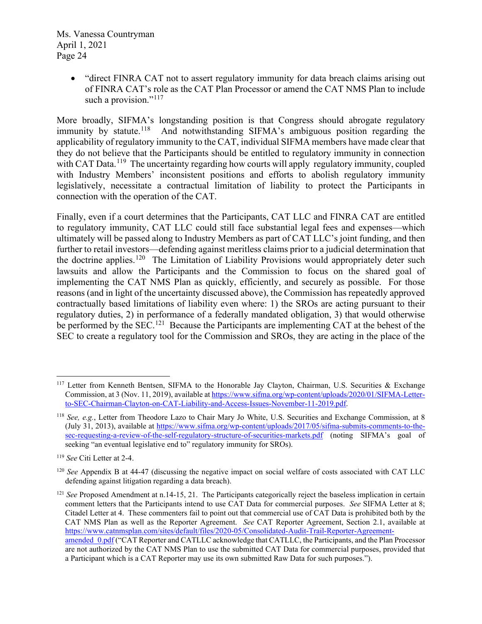• "direct FINRA CAT not to assert regulatory immunity for data breach claims arising out of FINRA CAT's role as the CAT Plan Processor or amend the CAT NMS Plan to include such a provision."<sup>[117](#page-23-0)</sup>

More broadly, SIFMA's longstanding position is that Congress should abrogate regulatory immunity by statute.<sup>[118](#page-23-1)</sup> And notwithstanding SIFMA's ambiguous position regarding the applicability of regulatory immunity to the CAT, individual SIFMA members have made clear that they do not believe that the Participants should be entitled to regulatory immunity in connection with CAT Data.<sup>119</sup> The uncertainty regarding how courts will apply regulatory immunity, coupled with Industry Members' inconsistent positions and efforts to abolish regulatory immunity legislatively, necessitate a contractual limitation of liability to protect the Participants in connection with the operation of the CAT.

Finally, even if a court determines that the Participants, CAT LLC and FINRA CAT are entitled to regulatory immunity, CAT LLC could still face substantial legal fees and expenses—which ultimately will be passed along to Industry Members as part of CAT LLC's joint funding, and then further to retail investors—defending against meritless claims prior to a judicial determination that the doctrine applies.<sup>120</sup> The Limitation of Liability Provisions would appropriately deter such lawsuits and allow the Participants and the Commission to focus on the shared goal of implementing the CAT NMS Plan as quickly, efficiently, and securely as possible. For those reasons (and in light of the uncertainty discussed above), the Commission has repeatedly approved contractually based limitations of liability even where: 1) the SROs are acting pursuant to their regulatory duties, 2) in performance of a federally mandated obligation, 3) that would otherwise be performed by the SEC.<sup>121</sup> Because the Participants are implementing CAT at the behest of the SEC to create a regulatory tool for the Commission and SROs, they are acting in the place of the

<span id="page-23-0"></span><sup>117</sup> Letter from Kenneth Bentsen, SIFMA to the Honorable Jay Clayton, Chairman, U.S. Securities & Exchange Commission, at 3 (Nov. 11, 2019), available a[t https://www.sifma.org/wp-content/uploads/2020/01/SIFMA-Letter](https://www.sifma.org/wp-content/uploads/2020/01/SIFMA-Letter-to-SEC-Chairman-Clayton-on-CAT-Liability-and-Access-Issues-November-11-2019.pdf)[to-SEC-Chairman-Clayton-on-CAT-Liability-and-Access-Issues-November-11-2019.pdf.](https://www.sifma.org/wp-content/uploads/2020/01/SIFMA-Letter-to-SEC-Chairman-Clayton-on-CAT-Liability-and-Access-Issues-November-11-2019.pdf)

<span id="page-23-1"></span><sup>118</sup> *See, e.g.*, Letter from Theodore Lazo to Chair Mary Jo White, U.S. Securities and Exchange Commission, at 8 (July 31, 2013), available at [https://www.sifma.org/wp-content/uploads/2017/05/sifma-submits-comments-to-the](https://www.sifma.org/wp-content/uploads/2017/05/sifma-submits-comments-to-the-sec-requesting-a-review-of-the-self-regulatory-structure-of-securities-markets.pdf)[sec-requesting-a-review-of-the-self-regulatory-structure-of-securities-markets.pdf](https://www.sifma.org/wp-content/uploads/2017/05/sifma-submits-comments-to-the-sec-requesting-a-review-of-the-self-regulatory-structure-of-securities-markets.pdf) (noting SIFMA's goal of seeking "an eventual legislative end to" regulatory immunity for SROs).

<span id="page-23-2"></span><sup>119</sup> *See* Citi Letter at 2-4.

<span id="page-23-3"></span><sup>120</sup> *See* Appendix B at 44-47 (discussing the negative impact on social welfare of costs associated with CAT LLC defending against litigation regarding a data breach).

<span id="page-23-4"></span><sup>&</sup>lt;sup>121</sup> *See* Proposed Amendment at n.14-15, 21. The Participants categorically reject the baseless implication in certain comment letters that the Participants intend to use CAT Data for commercial purposes. *See* SIFMA Letter at 8; Citadel Letter at 4. These commenters fail to point out that commercial use of CAT Data is prohibited both by the CAT NMS Plan as well as the Reporter Agreement. *See* CAT Reporter Agreement, Section 2.1, available at [https://www.catnmsplan.com/sites/default/files/2020-05/Consolidated-Audit-Trail-Reporter-Agreement](https://www.catnmsplan.com/sites/default/files/2020-05/Consolidated-Audit-Trail-Reporter-Agreement-amended_0.pdf)amended 0.pdf ("CAT Reporter and CATLLC acknowledge that CATLLC, the Participants, and the Plan Processor are not authorized by the CAT NMS Plan to use the submitted CAT Data for commercial purposes, provided that a Participant which is a CAT Reporter may use its own submitted Raw Data for such purposes.").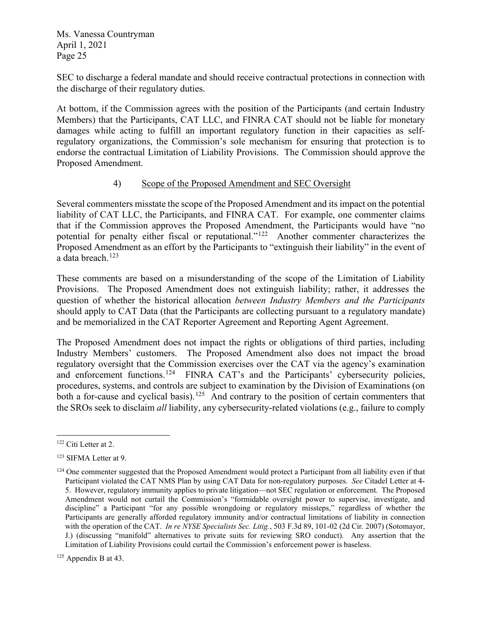SEC to discharge a federal mandate and should receive contractual protections in connection with the discharge of their regulatory duties.

At bottom, if the Commission agrees with the position of the Participants (and certain Industry Members) that the Participants, CAT LLC, and FINRA CAT should not be liable for monetary damages while acting to fulfill an important regulatory function in their capacities as selfregulatory organizations, the Commission's sole mechanism for ensuring that protection is to endorse the contractual Limitation of Liability Provisions. The Commission should approve the Proposed Amendment.

#### 4) Scope of the Proposed Amendment and SEC Oversight

Several commenters misstate the scope of the Proposed Amendment and its impact on the potential liability of CAT LLC, the Participants, and FINRA CAT. For example, one commenter claims that if the Commission approves the Proposed Amendment, the Participants would have "no potential for penalty either fiscal or reputational."[122](#page-24-0) Another commenter characterizes the Proposed Amendment as an effort by the Participants to "extinguish their liability" in the event of a data breach. $123$ 

These comments are based on a misunderstanding of the scope of the Limitation of Liability Provisions. The Proposed Amendment does not extinguish liability; rather, it addresses the question of whether the historical allocation *between Industry Members and the Participants* should apply to CAT Data (that the Participants are collecting pursuant to a regulatory mandate) and be memorialized in the CAT Reporter Agreement and Reporting Agent Agreement.

The Proposed Amendment does not impact the rights or obligations of third parties, including Industry Members' customers. The Proposed Amendment also does not impact the broad regulatory oversight that the Commission exercises over the CAT via the agency's examination and enforcement functions.<sup>124</sup> FINRA CAT's and the Participants' cybersecurity policies, procedures, systems, and controls are subject to examination by the Division of Examinations (on both a for-cause and cyclical basis).<sup>[125](#page-24-3)</sup> And contrary to the position of certain commenters that the SROs seek to disclaim *all* liability, any cybersecurity-related violations (e.g., failure to comply

<span id="page-24-0"></span><sup>122</sup> Citi Letter at 2.

<span id="page-24-1"></span><sup>123</sup> SIFMA Letter at 9.

<span id="page-24-2"></span> $124$  One commenter suggested that the Proposed Amendment would protect a Participant from all liability even if that Participant violated the CAT NMS Plan by using CAT Data for non-regulatory purposes. *See* Citadel Letter at 4- 5. However, regulatory immunity applies to private litigation—not SEC regulation or enforcement. The Proposed Amendment would not curtail the Commission's "formidable oversight power to supervise, investigate, and discipline" a Participant "for any possible wrongdoing or regulatory missteps," regardless of whether the Participants are generally afforded regulatory immunity and/or contractual limitations of liability in connection with the operation of the CAT. *In re NYSE Specialists Sec. Litig.*, 503 F.3d 89, 101-02 (2d Cir. 2007) (Sotomayor, J.) (discussing "manifold" alternatives to private suits for reviewing SRO conduct). Any assertion that the Limitation of Liability Provisions could curtail the Commission's enforcement power is baseless.

<span id="page-24-3"></span> $125$  Appendix B at 43.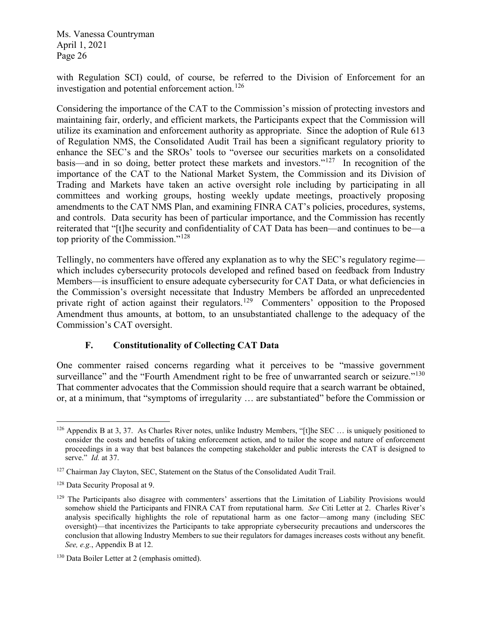with Regulation SCI) could, of course, be referred to the Division of Enforcement for an investigation and potential enforcement action.<sup>[126](#page-25-0)</sup>

Considering the importance of the CAT to the Commission's mission of protecting investors and maintaining fair, orderly, and efficient markets, the Participants expect that the Commission will utilize its examination and enforcement authority as appropriate. Since the adoption of Rule 613 of Regulation NMS, the Consolidated Audit Trail has been a significant regulatory priority to enhance the SEC's and the SROs' tools to "oversee our securities markets on a consolidated basis—and in so doing, better protect these markets and investors."<sup>127</sup> In recognition of the importance of the CAT to the National Market System, the Commission and its Division of Trading and Markets have taken an active oversight role including by participating in all committees and working groups, hosting weekly update meetings, proactively proposing amendments to the CAT NMS Plan, and examining FINRA CAT's policies, procedures, systems, and controls. Data security has been of particular importance, and the Commission has recently reiterated that "[t]he security and confidentiality of CAT Data has been—and continues to be—a top priority of the Commission."[128](#page-25-2) 

Tellingly, no commenters have offered any explanation as to why the SEC's regulatory regime which includes cybersecurity protocols developed and refined based on feedback from Industry Members—is insufficient to ensure adequate cybersecurity for CAT Data, or what deficiencies in the Commission's oversight necessitate that Industry Members be afforded an unprecedented private right of action against their regulators.<sup>[129](#page-25-3)</sup> Commenters' opposition to the Proposed Amendment thus amounts, at bottom, to an unsubstantiated challenge to the adequacy of the Commission's CAT oversight.

### **F. Constitutionality of Collecting CAT Data**

One commenter raised concerns regarding what it perceives to be "massive government surveillance" and the "Fourth Amendment right to be free of unwarranted search or seizure."<sup>[130](#page-25-4)</sup> That commenter advocates that the Commission should require that a search warrant be obtained, or, at a minimum, that "symptoms of irregularity … are substantiated" before the Commission or

<span id="page-25-0"></span> $126$  Appendix B at 3, 37. As Charles River notes, unlike Industry Members, "[t]he SEC  $\ldots$  is uniquely positioned to consider the costs and benefits of taking enforcement action, and to tailor the scope and nature of enforcement proceedings in a way that best balances the competing stakeholder and public interests the CAT is designed to serve." *Id.* at 37.

<span id="page-25-1"></span><sup>&</sup>lt;sup>127</sup> Chairman Jay Clayton, SEC, Statement on the Status of the Consolidated Audit Trail.

<span id="page-25-2"></span><sup>128</sup> Data Security Proposal at 9.

<span id="page-25-3"></span><sup>&</sup>lt;sup>129</sup> The Participants also disagree with commenters' assertions that the Limitation of Liability Provisions would somehow shield the Participants and FINRA CAT from reputational harm. *See* Citi Letter at 2. Charles River's analysis specifically highlights the role of reputational harm as one factor—among many (including SEC oversight)—that incentivizes the Participants to take appropriate cybersecurity precautions and underscores the conclusion that allowing Industry Members to sue their regulators for damages increases costs without any benefit. *See, e.g.*, Appendix B at 12.

<span id="page-25-4"></span><sup>130</sup> Data Boiler Letter at 2 (emphasis omitted).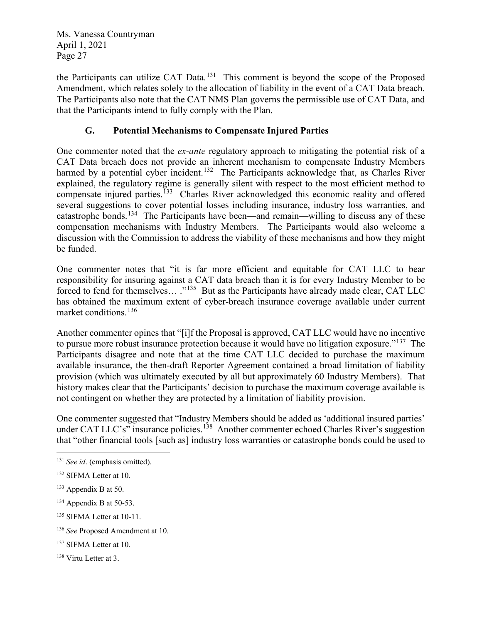the Participants can utilize CAT Data.<sup>131</sup> This comment is beyond the scope of the Proposed Amendment, which relates solely to the allocation of liability in the event of a CAT Data breach. The Participants also note that the CAT NMS Plan governs the permissible use of CAT Data, and that the Participants intend to fully comply with the Plan.

# **G. Potential Mechanisms to Compensate Injured Parties**

One commenter noted that the *ex-ante* regulatory approach to mitigating the potential risk of a CAT Data breach does not provide an inherent mechanism to compensate Industry Members harmed by a potential cyber incident.<sup>[132](#page-26-1)</sup> The Participants acknowledge that, as Charles River explained, the regulatory regime is generally silent with respect to the most efficient method to compensate injured parties.<sup>133</sup> Charles River acknowledged this economic reality and offered several suggestions to cover potential losses including insurance, industry loss warranties, and catastrophe bonds.<sup>134</sup> The Participants have been—and remain—willing to discuss any of these compensation mechanisms with Industry Members. The Participants would also welcome a discussion with the Commission to address the viability of these mechanisms and how they might be funded.

One commenter notes that "it is far more efficient and equitable for CAT LLC to bear responsibility for insuring against a CAT data breach than it is for every Industry Member to be forced to fend for themselves... ."<sup>135</sup> But as the Participants have already made clear, CAT LLC has obtained the maximum extent of cyber-breach insurance coverage available under current market conditions.[136](#page-26-5)

Another commenter opines that "[i]f the Proposal is approved, CAT LLC would have no incentive to pursue more robust insurance protection because it would have no litigation exposure."<sup>137</sup> The Participants disagree and note that at the time CAT LLC decided to purchase the maximum available insurance, the then-draft Reporter Agreement contained a broad limitation of liability provision (which was ultimately executed by all but approximately 60 Industry Members). That history makes clear that the Participants' decision to purchase the maximum coverage available is not contingent on whether they are protected by a limitation of liability provision.

One commenter suggested that "Industry Members should be added as 'additional insured parties' under CAT LLC's" insurance policies.<sup>[138](#page-26-7)</sup> Another commenter echoed Charles River's suggestion that "other financial tools [such as] industry loss warranties or catastrophe bonds could be used to

- <span id="page-26-2"></span><sup>133</sup> Appendix B at 50.
- <span id="page-26-3"></span> $134$  Appendix B at 50-53.
- <span id="page-26-4"></span><sup>135</sup> SIFMA Letter at 10-11.

<span id="page-26-0"></span><sup>131</sup> *See id*. (emphasis omitted).

<span id="page-26-1"></span><sup>132</sup> SIFMA Letter at 10.

<span id="page-26-5"></span><sup>136</sup> *See* Proposed Amendment at 10.

<span id="page-26-6"></span><sup>&</sup>lt;sup>137</sup> SIFMA Letter at 10.

<span id="page-26-7"></span><sup>138</sup> Virtu Letter at 3.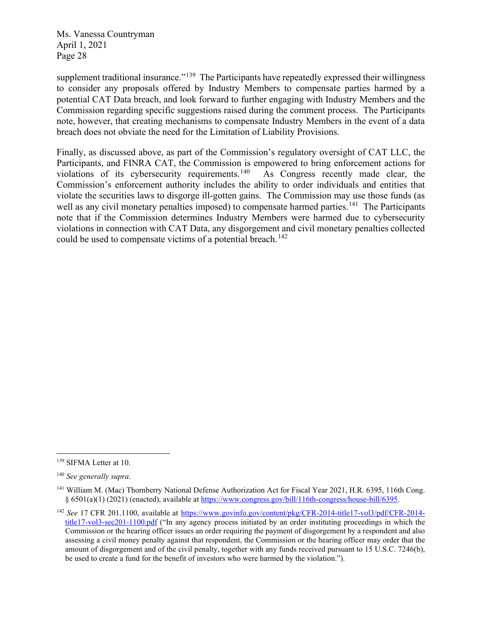supplement traditional insurance."<sup>139</sup> The Participants have repeatedly expressed their willingness to consider any proposals offered by Industry Members to compensate parties harmed by a potential CAT Data breach, and look forward to further engaging with Industry Members and the Commission regarding specific suggestions raised during the comment process. The Participants note, however, that creating mechanisms to compensate Industry Members in the event of a data breach does not obviate the need for the Limitation of Liability Provisions.

Finally, as discussed above, as part of the Commission's regulatory oversight of CAT LLC, the Participants, and FINRA CAT, the Commission is empowered to bring enforcement actions for violations of its cybersecurity requirements.<sup>140</sup> As Congress recently made clear, the Commission's enforcement authority includes the ability to order individuals and entities that violate the securities laws to disgorge ill-gotten gains. The Commission may use those funds (as well as any civil monetary penalties imposed) to compensate harmed parties.<sup>[141](#page-27-2)</sup> The Participants note that if the Commission determines Industry Members were harmed due to cybersecurity violations in connection with CAT Data, any disgorgement and civil monetary penalties collected could be used to compensate victims of a potential breach.<sup>[142](#page-27-3)</sup>

<span id="page-27-0"></span><sup>139</sup> SIFMA Letter at 10.

<span id="page-27-1"></span><sup>140</sup> *See generally supra*.

<span id="page-27-2"></span><sup>&</sup>lt;sup>141</sup> William M. (Mac) Thornberry National Defense Authorization Act for Fiscal Year 2021, H.R. 6395, 116th Cong. § 6501(a)(1) (2021) (enacted), available at [https://www.congress.gov/bill/116th-congress/house-bill/6395.](https://www.congress.gov/bill/116th-congress/house-bill/6395)

<span id="page-27-3"></span><sup>&</sup>lt;sup>142</sup> *See* 17 CFR 201.1100, available at [https://www.govinfo.gov/content/pkg/CFR-2014-title17-vol3/pdf/CFR-2014](https://www.govinfo.gov/content/pkg/CFR-2014-title17-vol3/pdf/CFR-2014-title17-vol3-sec201-1100.pdf) [title17-vol3-sec201-1100.pdf](https://www.govinfo.gov/content/pkg/CFR-2014-title17-vol3/pdf/CFR-2014-title17-vol3-sec201-1100.pdf) ("In any agency process initiated by an order instituting proceedings in which the Commission or the hearing officer issues an order requiring the payment of disgorgement by a respondent and also assessing a civil money penalty against that respondent, the Commission or the hearing officer may order that the amount of disgorgement and of the civil penalty, together with any funds received pursuant to 15 U.S.C. 7246(b), be used to create a fund for the benefit of investors who were harmed by the violation.").